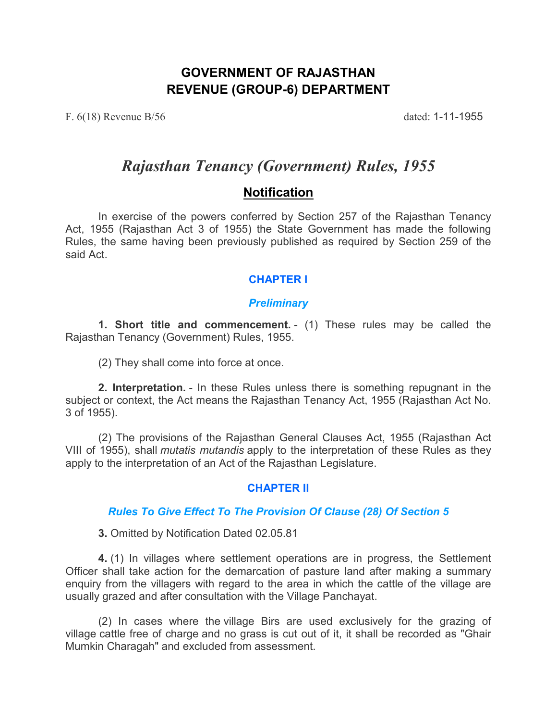# **GOVERNMENT OF RAJASTHAN REVENUE (GROUP-6) DEPARTMENT**

F. 6(18) Revenue B/56 dated: 1-11-1955

# *Rajasthan Tenancy (Government) Rules, 1955*

# **Notification**

In exercise of the powers conferred by Section 257 of the Rajasthan Tenancy Act, 1955 (Rajasthan Act 3 of 1955) the State Government has made the following Rules, the same having been previously published as required by Section 259 of the said Act.

# **CHAPTER I**

## *Preliminary*

**1. Short title and commencement.** - (1) These rules may be called the Rajasthan Tenancy (Government) Rules, 1955.

(2) They shall come into force at once.

**2. Interpretation.** - In these Rules unless there is something repugnant in the subject or context, the Act means the Rajasthan Tenancy Act, 1955 (Rajasthan Act No. 3 of 1955).

(2) The provisions of the Rajasthan General Clauses Act, 1955 (Rajasthan Act VIII of 1955), shall *mutatis mutandis* apply to the interpretation of these Rules as they apply to the interpretation of an Act of the Rajasthan Legislature.

#### **CHAPTER II**

#### *Rules To Give Effect To The Provision Of Clause (28) Of Section 5*

**3.** Omitted by Notification Dated 02.05.81

**4.** (1) In villages where settlement operations are in progress, the Settlement Officer shall take action for the demarcation of pasture land after making a summary enquiry from the villagers with regard to the area in which the cattle of the village are usually grazed and after consultation with the Village Panchayat.

(2) In cases where the village Birs are used exclusively for the grazing of village cattle free of charge and no grass is cut out of it, it shall be recorded as "Ghair Mumkin Charagah" and excluded from assessment.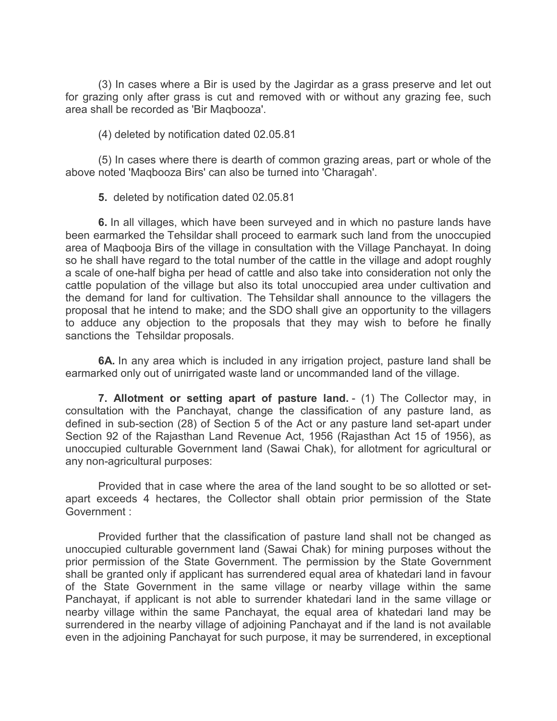(3) In cases where a Bir is used by the Jagirdar as a grass preserve and let out for grazing only after grass is cut and removed with or without any grazing fee, such area shall be recorded as 'Bir Maqbooza'.

(4) deleted by notification dated 02.05.81

(5) In cases where there is dearth of common grazing areas, part or whole of the above noted 'Maqbooza Birs' can also be turned into 'Charagah'.

**5.** deleted by notification dated 02.05.81

**6.** In all villages, which have been surveyed and in which no pasture lands have been earmarked the Tehsildar shall proceed to earmark such land from the unoccupied area of Maqbooja Birs of the village in consultation with the Village Panchayat. In doing so he shall have regard to the total number of the cattle in the village and adopt roughly a scale of one-half bigha per head of cattle and also take into consideration not only the cattle population of the village but also its total unoccupied area under cultivation and the demand for land for cultivation. The Tehsildar shall announce to the villagers the proposal that he intend to make; and the SDO shall give an opportunity to the villagers to adduce any objection to the proposals that they may wish to before he finally sanctions the Tehsildar proposals.

**6A.** In any area which is included in any irrigation project, pasture land shall be earmarked only out of unirrigated waste land or uncommanded land of the village.

**7. Allotment or setting apart of pasture land.** - (1) The Collector may, in consultation with the Panchayat, change the classification of any pasture land, as defined in sub-section (28) of Section 5 of the Act or any pasture land set-apart under Section 92 of the Rajasthan Land Revenue Act, 1956 (Rajasthan Act 15 of 1956), as unoccupied culturable Government land (Sawai Chak), for allotment for agricultural or any non-agricultural purposes:

Provided that in case where the area of the land sought to be so allotted or setapart exceeds 4 hectares, the Collector shall obtain prior permission of the State Government :

Provided further that the classification of pasture land shall not be changed as unoccupied culturable government land (Sawai Chak) for mining purposes without the prior permission of the State Government. The permission by the State Government shall be granted only if applicant has surrendered equal area of khatedari land in favour of the State Government in the same village or nearby village within the same Panchayat, if applicant is not able to surrender khatedari land in the same village or nearby village within the same Panchayat, the equal area of khatedari land may be surrendered in the nearby village of adjoining Panchayat and if the land is not available even in the adjoining Panchayat for such purpose, it may be surrendered, in exceptional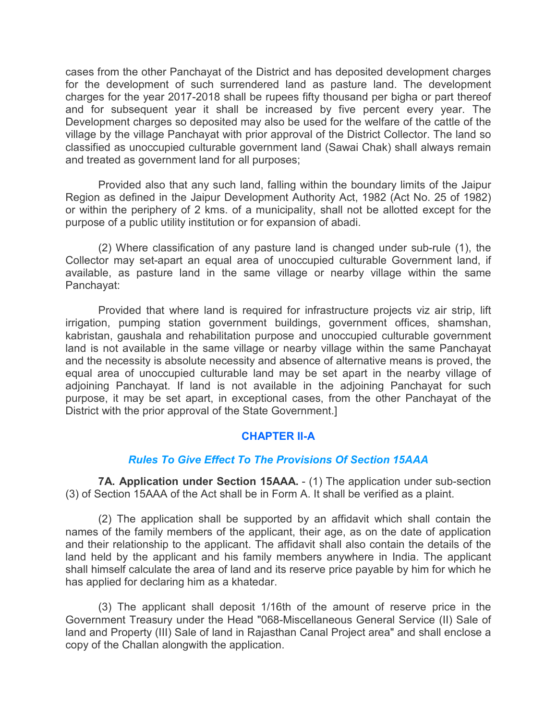cases from the other Panchayat of the District and has deposited development charges for the development of such surrendered land as pasture land. The development charges for the year 2017-2018 shall be rupees fifty thousand per bigha or part thereof and for subsequent year it shall be increased by five percent every year. The Development charges so deposited may also be used for the welfare of the cattle of the village by the village Panchayat with prior approval of the District Collector. The land so classified as unoccupied culturable government land (Sawai Chak) shall always remain and treated as government land for all purposes;

Provided also that any such land, falling within the boundary limits of the Jaipur Region as defined in the Jaipur Development Authority Act, 1982 (Act No. 25 of 1982) or within the periphery of 2 kms. of a municipality, shall not be allotted except for the purpose of a public utility institution or for expansion of abadi.

(2) Where classification of any pasture land is changed under sub-rule (1), the Collector may set-apart an equal area of unoccupied culturable Government land, if available, as pasture land in the same village or nearby village within the same Panchayat:

Provided that where land is required for infrastructure projects viz air strip, lift irrigation, pumping station government buildings, government offices, shamshan, kabristan, gaushala and rehabilitation purpose and unoccupied culturable government land is not available in the same village or nearby village within the same Panchayat and the necessity is absolute necessity and absence of alternative means is proved, the equal area of unoccupied culturable land may be set apart in the nearby village of adjoining Panchayat. If land is not available in the adjoining Panchayat for such purpose, it may be set apart, in exceptional cases, from the other Panchayat of the District with the prior approval of the State Government.]

#### **CHAPTER II-A**

#### *Rules To Give Effect To The Provisions Of Section 15AAA*

**7A. Application under Section 15AAA.** - (1) The application under sub-section (3) of Section 15AAA of the Act shall be in Form A. It shall be verified as a plaint.

(2) The application shall be supported by an affidavit which shall contain the names of the family members of the applicant, their age, as on the date of application and their relationship to the applicant. The affidavit shall also contain the details of the land held by the applicant and his family members anywhere in India. The applicant shall himself calculate the area of land and its reserve price payable by him for which he has applied for declaring him as a khatedar.

(3) The applicant shall deposit 1/16th of the amount of reserve price in the Government Treasury under the Head "068-Miscellaneous General Service (II) Sale of land and Property (III) Sale of land in Rajasthan Canal Project area" and shall enclose a copy of the Challan alongwith the application.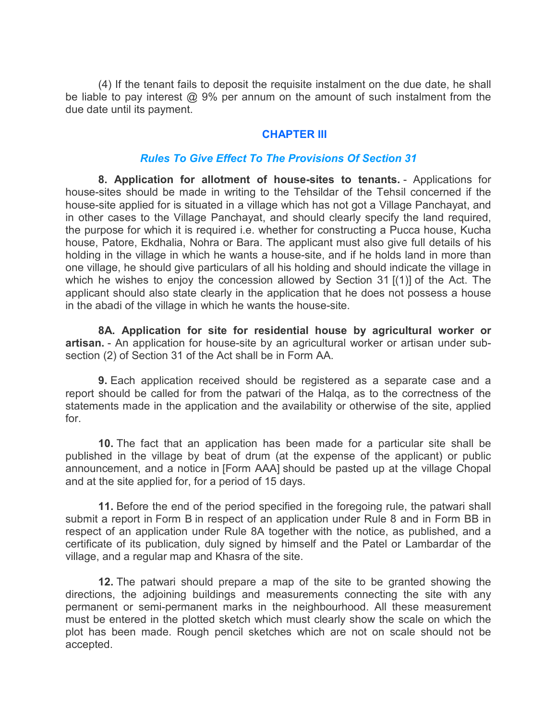(4) If the tenant fails to deposit the requisite instalment on the due date, he shall be liable to pay interest @ 9% per annum on the amount of such instalment from the due date until its payment.

#### **CHAPTER III**

#### *Rules To Give Effect To The Provisions Of Section 31*

**8. Application for allotment of house-sites to tenants.** - Applications for house-sites should be made in writing to the Tehsildar of the Tehsil concerned if the house-site applied for is situated in a village which has not got a Village Panchayat, and in other cases to the Village Panchayat, and should clearly specify the land required, the purpose for which it is required i.e. whether for constructing a Pucca house, Kucha house, Patore, Ekdhalia, Nohra or Bara. The applicant must also give full details of his holding in the village in which he wants a house-site, and if he holds land in more than one village, he should give particulars of all his holding and should indicate the village in which he wishes to enjoy the concession allowed by Section 31 [(1)] of the Act. The applicant should also state clearly in the application that he does not possess a house in the abadi of the village in which he wants the house-site.

**8A. Application for site for residential house by agricultural worker or artisan.** - An application for house-site by an agricultural worker or artisan under subsection (2) of Section 31 of the Act shall be in Form AA.

**9.** Each application received should be registered as a separate case and a report should be called for from the patwari of the Halqa, as to the correctness of the statements made in the application and the availability or otherwise of the site, applied for.

**10.** The fact that an application has been made for a particular site shall be published in the village by beat of drum (at the expense of the applicant) or public announcement, and a notice in [Form AAA] should be pasted up at the village Chopal and at the site applied for, for a period of 15 days.

**11.** Before the end of the period specified in the foregoing rule, the patwari shall submit a report in Form B in respect of an application under Rule 8 and in Form BB in respect of an application under Rule 8A together with the notice, as published, and a certificate of its publication, duly signed by himself and the Patel or Lambardar of the village, and a regular map and Khasra of the site.

**12.** The patwari should prepare a map of the site to be granted showing the directions, the adjoining buildings and measurements connecting the site with any permanent or semi-permanent marks in the neighbourhood. All these measurement must be entered in the plotted sketch which must clearly show the scale on which the plot has been made. Rough pencil sketches which are not on scale should not be accepted.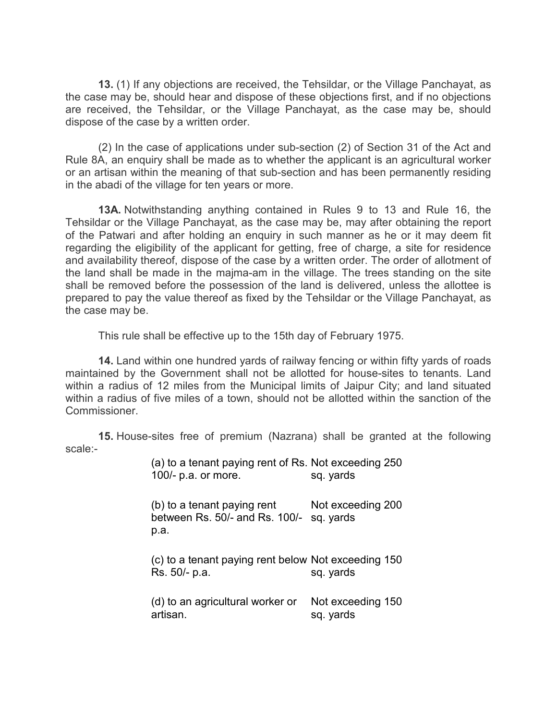**13.** (1) If any objections are received, the Tehsildar, or the Village Panchayat, as the case may be, should hear and dispose of these objections first, and if no objections are received, the Tehsildar, or the Village Panchayat, as the case may be, should dispose of the case by a written order.

(2) In the case of applications under sub-section (2) of Section 31 of the Act and Rule 8A, an enquiry shall be made as to whether the applicant is an agricultural worker or an artisan within the meaning of that sub-section and has been permanently residing in the abadi of the village for ten years or more.

**13A.** Notwithstanding anything contained in Rules 9 to 13 and Rule 16, the Tehsildar or the Village Panchayat, as the case may be, may after obtaining the report of the Patwari and after holding an enquiry in such manner as he or it may deem fit regarding the eligibility of the applicant for getting, free of charge, a site for residence and availability thereof, dispose of the case by a written order. The order of allotment of the land shall be made in the majma-am in the village. The trees standing on the site shall be removed before the possession of the land is delivered, unless the allottee is prepared to pay the value thereof as fixed by the Tehsildar or the Village Panchayat, as the case may be.

This rule shall be effective up to the 15th day of February 1975.

**14.** Land within one hundred yards of railway fencing or within fifty yards of roads maintained by the Government shall not be allotted for house-sites to tenants. Land within a radius of 12 miles from the Municipal limits of Jaipur City; and land situated within a radius of five miles of a town, should not be allotted within the sanction of the Commissioner.

**15.** House-sites free of premium (Nazrana) shall be granted at the following scale:-

> (a) to a tenant paying rent of Rs. Not exceeding 250 100/- p.a. or more. sq. yards

> (b) to a tenant paying rent between Rs. 50/- and Rs. 100/- sq. yards p.a. Not exceeding 200

> (c) to a tenant paying rent below Not exceeding 150 Rs. 50/- p.a. sq. yards

> (d) to an agricultural worker or artisan. Not exceeding 150 sq. yards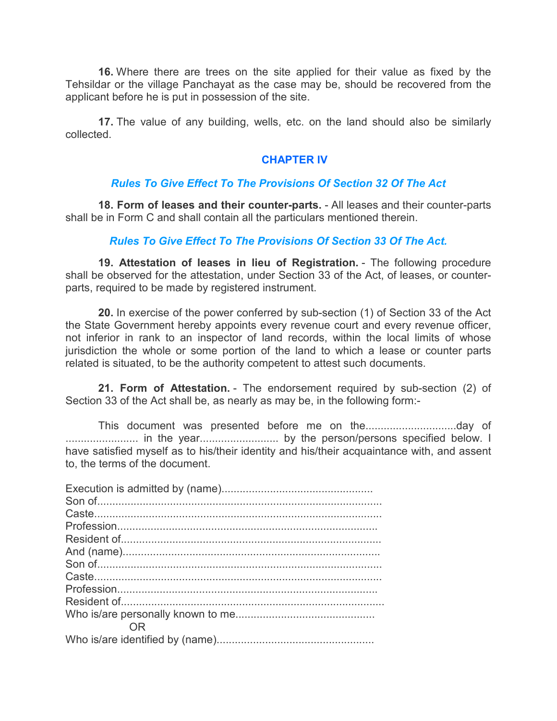**16.** Where there are trees on the site applied for their value as fixed by the Tehsildar or the village Panchayat as the case may be, should be recovered from the applicant before he is put in possession of the site.

**17.** The value of any building, wells, etc. on the land should also be similarly collected.

#### **CHAPTER IV**

## *Rules To Give Effect To The Provisions Of Section 32 Of The Act*

**18. Form of leases and their counter-parts.** - All leases and their counter-parts shall be in Form C and shall contain all the particulars mentioned therein.

#### *Rules To Give Effect To The Provisions Of Section 33 Of The Act.*

**19. Attestation of leases in lieu of Registration.** - The following procedure shall be observed for the attestation, under Section 33 of the Act, of leases, or counterparts, required to be made by registered instrument.

**20.** In exercise of the power conferred by sub-section (1) of Section 33 of the Act the State Government hereby appoints every revenue court and every revenue officer, not inferior in rank to an inspector of land records, within the local limits of whose jurisdiction the whole or some portion of the land to which a lease or counter parts related is situated, to be the authority competent to attest such documents.

**21. Form of Attestation.** - The endorsement required by sub-section (2) of Section 33 of the Act shall be, as nearly as may be, in the following form:-

This document was presented before me on the..............................day of ........................ in the year.......................... by the person/persons specified below. I have satisfied myself as to his/their identity and his/their acquaintance with, and assent to, the terms of the document.

| 0R |
|----|
|    |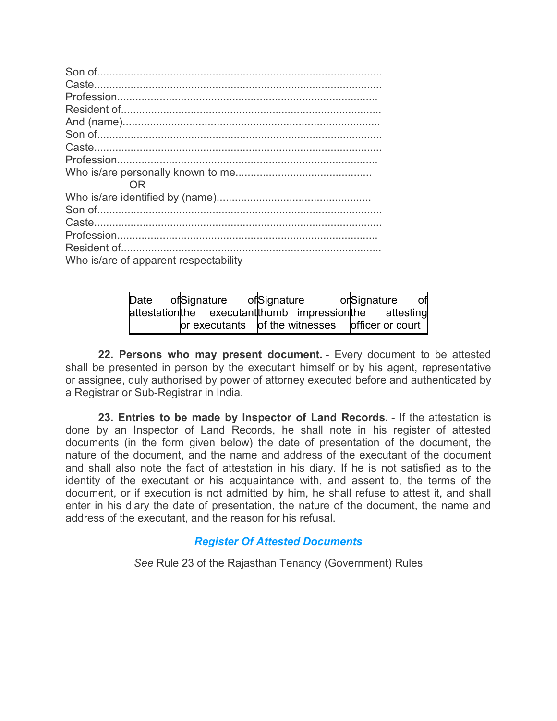| <b>OR</b>                             |
|---------------------------------------|
|                                       |
|                                       |
|                                       |
|                                       |
|                                       |
| Who is/are of apparent respectability |

| Date                                                     | ofSignature |                                                                            | ofSignature |  | orSignature | of |
|----------------------------------------------------------|-------------|----------------------------------------------------------------------------|-------------|--|-------------|----|
| attestation the executant thumb impression the attesting |             |                                                                            |             |  |             |    |
|                                                          |             | $\sigma$ or executants $\sigma$ of the witnesses $\sigma$ officer or court |             |  |             |    |

**22. Persons who may present document.** - Every document to be attested shall be presented in person by the executant himself or by his agent, representative or assignee, duly authorised by power of attorney executed before and authenticated by a Registrar or Sub-Registrar in India.

**23. Entries to be made by Inspector of Land Records.** - If the attestation is done by an Inspector of Land Records, he shall note in his register of attested documents (in the form given below) the date of presentation of the document, the nature of the document, and the name and address of the executant of the document and shall also note the fact of attestation in his diary. If he is not satisfied as to the identity of the executant or his acquaintance with, and assent to, the terms of the document, or if execution is not admitted by him, he shall refuse to attest it, and shall enter in his diary the date of presentation, the nature of the document, the name and address of the executant, and the reason for his refusal.

#### *Register Of Attested Documents*

*See* Rule 23 of the Rajasthan Tenancy (Government) Rules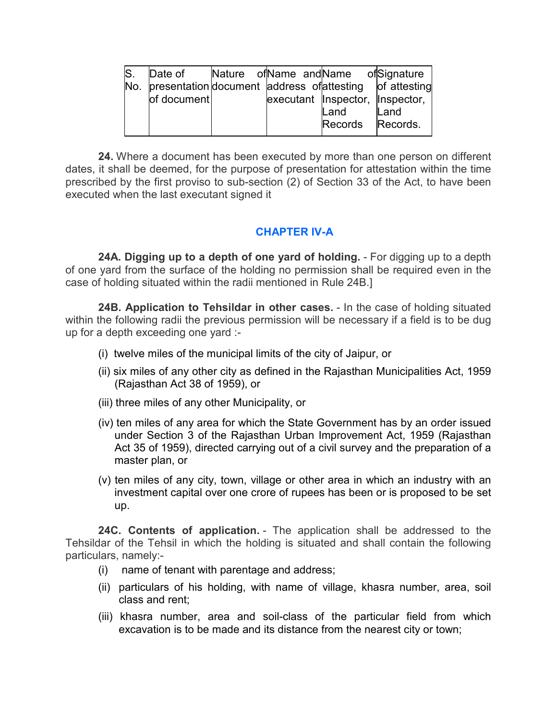| S. | Date of                                                     |  | Nature of Name and Name of Signature |      |
|----|-------------------------------------------------------------|--|--------------------------------------|------|
|    | No. presentation document address of attesting of attesting |  |                                      |      |
|    | of document                                                 |  | executant Inspector, Inspector,      |      |
|    |                                                             |  | Land                                 | Land |
|    |                                                             |  | Records Records.                     |      |

**24.** Where a document has been executed by more than one person on different dates, it shall be deemed, for the purpose of presentation for attestation within the time prescribed by the first proviso to sub-section (2) of Section 33 of the Act, to have been executed when the last executant signed it

# **CHAPTER IV-A**

**24A. Digging up to a depth of one yard of holding.** - For digging up to a depth of one yard from the surface of the holding no permission shall be required even in the case of holding situated within the radii mentioned in Rule 24B.]

**24B. Application to Tehsildar in other cases.** - In the case of holding situated within the following radii the previous permission will be necessary if a field is to be dug up for a depth exceeding one yard :-

- (i) twelve miles of the municipal limits of the city of Jaipur, or
- (ii) six miles of any other city as defined in the Rajasthan Municipalities Act, 1959 (Rajasthan Act 38 of 1959), or
- (iii) three miles of any other Municipality, or
- (iv) ten miles of any area for which the State Government has by an order issued under Section 3 of the Rajasthan Urban Improvement Act, 1959 (Rajasthan Act 35 of 1959), directed carrying out of a civil survey and the preparation of a master plan, or
- (v) ten miles of any city, town, village or other area in which an industry with an investment capital over one crore of rupees has been or is proposed to be set up.

**24C. Contents of application.** - The application shall be addressed to the Tehsildar of the Tehsil in which the holding is situated and shall contain the following particulars, namely:-

- (i) name of tenant with parentage and address;
- (ii) particulars of his holding, with name of village, khasra number, area, soil class and rent;
- (iii) khasra number, area and soil-class of the particular field from which excavation is to be made and its distance from the nearest city or town;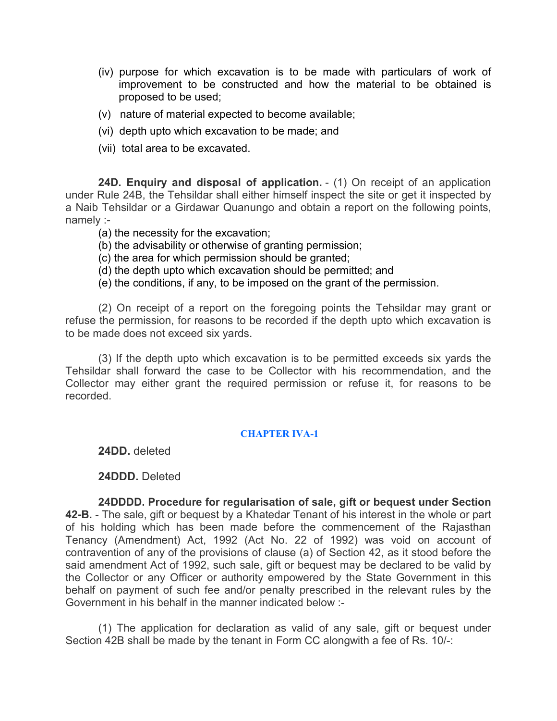- (iv) purpose for which excavation is to be made with particulars of work of improvement to be constructed and how the material to be obtained is proposed to be used;
- (v) nature of material expected to become available;
- (vi) depth upto which excavation to be made; and
- (vii) total area to be excavated.

**24D. Enquiry and disposal of application.** - (1) On receipt of an application under Rule 24B, the Tehsildar shall either himself inspect the site or get it inspected by a Naib Tehsildar or a Girdawar Quanungo and obtain a report on the following points, namely :-

- (a) the necessity for the excavation;
- (b) the advisability or otherwise of granting permission;
- (c) the area for which permission should be granted;
- (d) the depth upto which excavation should be permitted; and
- (e) the conditions, if any, to be imposed on the grant of the permission.

(2) On receipt of a report on the foregoing points the Tehsildar may grant or refuse the permission, for reasons to be recorded if the depth upto which excavation is to be made does not exceed six yards.

(3) If the depth upto which excavation is to be permitted exceeds six yards the Tehsildar shall forward the case to be Collector with his recommendation, and the Collector may either grant the required permission or refuse it, for reasons to be recorded.

#### **CHAPTER IVA-1**

**24DD.** deleted

#### **24DDD.** Deleted

**24DDDD. Procedure for regularisation of sale, gift or bequest under Section 42-B.** - The sale, gift or bequest by a Khatedar Tenant of his interest in the whole or part of his holding which has been made before the commencement of the Rajasthan Tenancy (Amendment) Act, 1992 (Act No. 22 of 1992) was void on account of contravention of any of the provisions of clause (a) of Section 42, as it stood before the said amendment Act of 1992, such sale, gift or bequest may be declared to be valid by the Collector or any Officer or authority empowered by the State Government in this behalf on payment of such fee and/or penalty prescribed in the relevant rules by the Government in his behalf in the manner indicated below :-

(1) The application for declaration as valid of any sale, gift or bequest under Section 42B shall be made by the tenant in Form CC alongwith a fee of Rs. 10/-: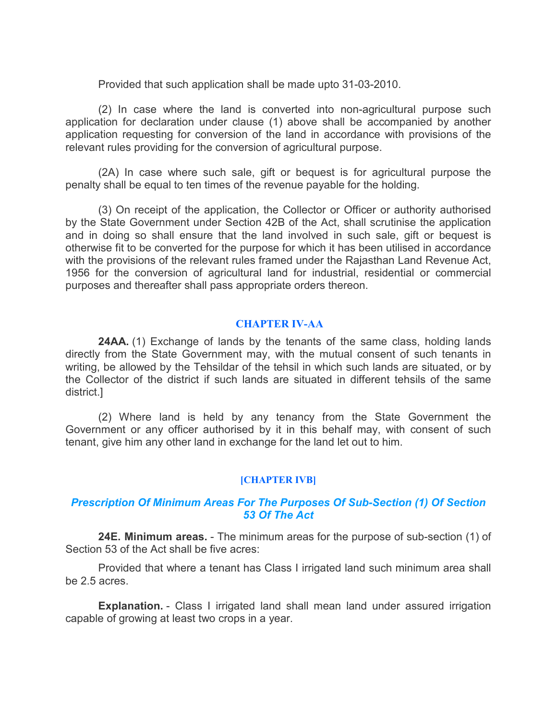Provided that such application shall be made upto 31-03-2010.

(2) In case where the land is converted into non-agricultural purpose such application for declaration under clause (1) above shall be accompanied by another application requesting for conversion of the land in accordance with provisions of the relevant rules providing for the conversion of agricultural purpose.

(2A) In case where such sale, gift or bequest is for agricultural purpose the penalty shall be equal to ten times of the revenue payable for the holding.

(3) On receipt of the application, the Collector or Officer or authority authorised by the State Government under Section 42B of the Act, shall scrutinise the application and in doing so shall ensure that the land involved in such sale, gift or bequest is otherwise fit to be converted for the purpose for which it has been utilised in accordance with the provisions of the relevant rules framed under the Rajasthan Land Revenue Act, 1956 for the conversion of agricultural land for industrial, residential or commercial purposes and thereafter shall pass appropriate orders thereon.

#### **CHAPTER IV-AA**

**24AA.** (1) Exchange of lands by the tenants of the same class, holding lands directly from the State Government may, with the mutual consent of such tenants in writing, be allowed by the Tehsildar of the tehsil in which such lands are situated, or by the Collector of the district if such lands are situated in different tehsils of the same district.]

(2) Where land is held by any tenancy from the State Government the Government or any officer authorised by it in this behalf may, with consent of such tenant, give him any other land in exchange for the land let out to him.

#### **[CHAPTER IVB]**

#### *Prescription Of Minimum Areas For The Purposes Of Sub-Section (1) Of Section 53 Of The Act*

**24E. Minimum areas.** - The minimum areas for the purpose of sub-section (1) of Section 53 of the Act shall be five acres:

Provided that where a tenant has Class I irrigated land such minimum area shall be 2.5 acres.

**Explanation.** - Class I irrigated land shall mean land under assured irrigation capable of growing at least two crops in a year.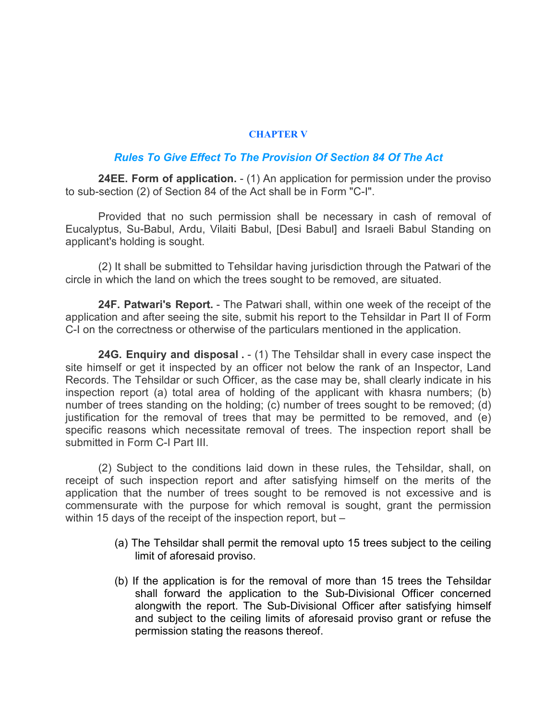#### **CHAPTER V**

#### *Rules To Give Effect To The Provision Of Section 84 Of The Act*

**24EE. Form of application.** - (1) An application for permission under the proviso to sub-section (2) of Section 84 of the Act shall be in Form "C-I".

Provided that no such permission shall be necessary in cash of removal of Eucalyptus, Su-Babul, Ardu, Vilaiti Babul, [Desi Babul] and Israeli Babul Standing on applicant's holding is sought.

(2) It shall be submitted to Tehsildar having jurisdiction through the Patwari of the circle in which the land on which the trees sought to be removed, are situated.

**24F. Patwari's Report.** - The Patwari shall, within one week of the receipt of the application and after seeing the site, submit his report to the Tehsildar in Part II of Form C-I on the correctness or otherwise of the particulars mentioned in the application.

**24G. Enquiry and disposal .** - (1) The Tehsildar shall in every case inspect the site himself or get it inspected by an officer not below the rank of an Inspector, Land Records. The Tehsildar or such Officer, as the case may be, shall clearly indicate in his inspection report (a) total area of holding of the applicant with khasra numbers; (b) number of trees standing on the holding; (c) number of trees sought to be removed; (d) justification for the removal of trees that may be permitted to be removed, and (e) specific reasons which necessitate removal of trees. The inspection report shall be submitted in Form C-I Part III.

(2) Subject to the conditions laid down in these rules, the Tehsildar, shall, on receipt of such inspection report and after satisfying himself on the merits of the application that the number of trees sought to be removed is not excessive and is commensurate with the purpose for which removal is sought, grant the permission within 15 days of the receipt of the inspection report, but -

- (a) The Tehsildar shall permit the removal upto 15 trees subject to the ceiling limit of aforesaid proviso.
- (b) If the application is for the removal of more than 15 trees the Tehsildar shall forward the application to the Sub-Divisional Officer concerned alongwith the report. The Sub-Divisional Officer after satisfying himself and subject to the ceiling limits of aforesaid proviso grant or refuse the permission stating the reasons thereof.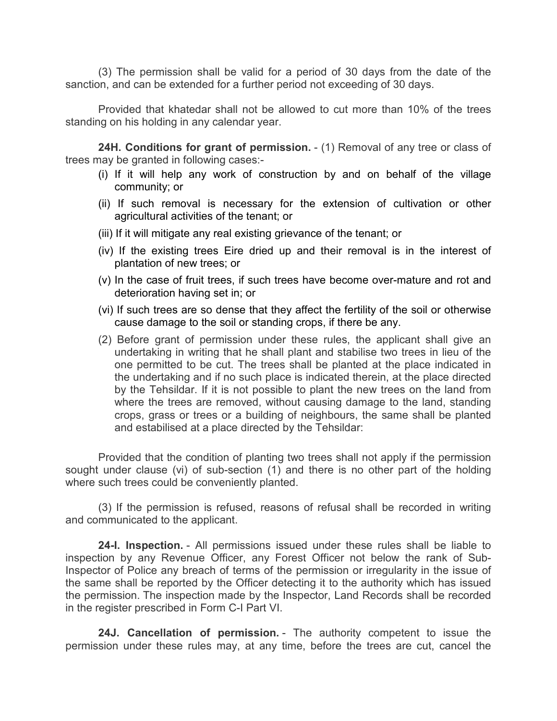(3) The permission shall be valid for a period of 30 days from the date of the sanction, and can be extended for a further period not exceeding of 30 days.

Provided that khatedar shall not be allowed to cut more than 10% of the trees standing on his holding in any calendar year.

**24H. Conditions for grant of permission.** - (1) Removal of any tree or class of trees may be granted in following cases:-

- (i) If it will help any work of construction by and on behalf of the village community; or
- (ii) If such removal is necessary for the extension of cultivation or other agricultural activities of the tenant; or
- (iii) If it will mitigate any real existing grievance of the tenant; or
- (iv) If the existing trees Eire dried up and their removal is in the interest of plantation of new trees; or
- (v) In the case of fruit trees, if such trees have become over-mature and rot and deterioration having set in; or
- (vi) If such trees are so dense that they affect the fertility of the soil or otherwise cause damage to the soil or standing crops, if there be any.
- (2) Before grant of permission under these rules, the applicant shall give an undertaking in writing that he shall plant and stabilise two trees in lieu of the one permitted to be cut. The trees shall be planted at the place indicated in the undertaking and if no such place is indicated therein, at the place directed by the Tehsildar. If it is not possible to plant the new trees on the land from where the trees are removed, without causing damage to the land, standing crops, grass or trees or a building of neighbours, the same shall be planted and estabilised at a place directed by the Tehsildar:

Provided that the condition of planting two trees shall not apply if the permission sought under clause (vi) of sub-section (1) and there is no other part of the holding where such trees could be conveniently planted.

(3) If the permission is refused, reasons of refusal shall be recorded in writing and communicated to the applicant.

**24-I. Inspection.** - All permissions issued under these rules shall be liable to inspection by any Revenue Officer, any Forest Officer not below the rank of Sub-Inspector of Police any breach of terms of the permission or irregularity in the issue of the same shall be reported by the Officer detecting it to the authority which has issued the permission. The inspection made by the Inspector, Land Records shall be recorded in the register prescribed in Form C-I Part VI.

**24J. Cancellation of permission.** - The authority competent to issue the permission under these rules may, at any time, before the trees are cut, cancel the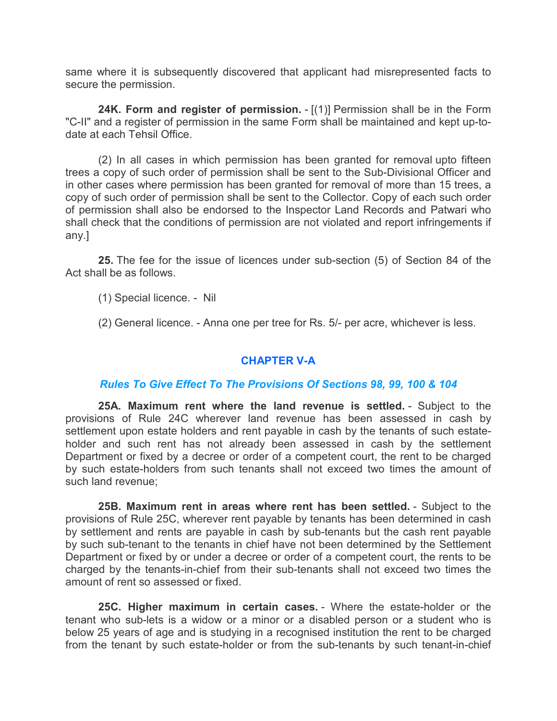same where it is subsequently discovered that applicant had misrepresented facts to secure the permission.

**24K. Form and register of permission.** - [(1)] Permission shall be in the Form "C-II" and a register of permission in the same Form shall be maintained and kept up-todate at each Tehsil Office.

(2) In all cases in which permission has been granted for removal upto fifteen trees a copy of such order of permission shall be sent to the Sub-Divisional Officer and in other cases where permission has been granted for removal of more than 15 trees, a copy of such order of permission shall be sent to the Collector. Copy of each such order of permission shall also be endorsed to the Inspector Land Records and Patwari who shall check that the conditions of permission are not violated and report infringements if any.]

**25.** The fee for the issue of licences under sub-section (5) of Section 84 of the Act shall be as follows.

(1) Special licence. - Nil

(2) General licence. - Anna one per tree for Rs. 5/- per acre, whichever is less.

# **CHAPTER V-A**

#### *Rules To Give Effect To The Provisions Of Sections 98, 99, 100 & 104*

**25A. Maximum rent where the land revenue is settled.** - Subject to the provisions of Rule 24C wherever land revenue has been assessed in cash by settlement upon estate holders and rent payable in cash by the tenants of such estateholder and such rent has not already been assessed in cash by the settlement Department or fixed by a decree or order of a competent court, the rent to be charged by such estate-holders from such tenants shall not exceed two times the amount of such land revenue;

**25B. Maximum rent in areas where rent has been settled.** - Subject to the provisions of Rule 25C, wherever rent payable by tenants has been determined in cash by settlement and rents are payable in cash by sub-tenants but the cash rent payable by such sub-tenant to the tenants in chief have not been determined by the Settlement Department or fixed by or under a decree or order of a competent court, the rents to be charged by the tenants-in-chief from their sub-tenants shall not exceed two times the amount of rent so assessed or fixed.

**25C. Higher maximum in certain cases.** - Where the estate-holder or the tenant who sub-lets is a widow or a minor or a disabled person or a student who is below 25 years of age and is studying in a recognised institution the rent to be charged from the tenant by such estate-holder or from the sub-tenants by such tenant-in-chief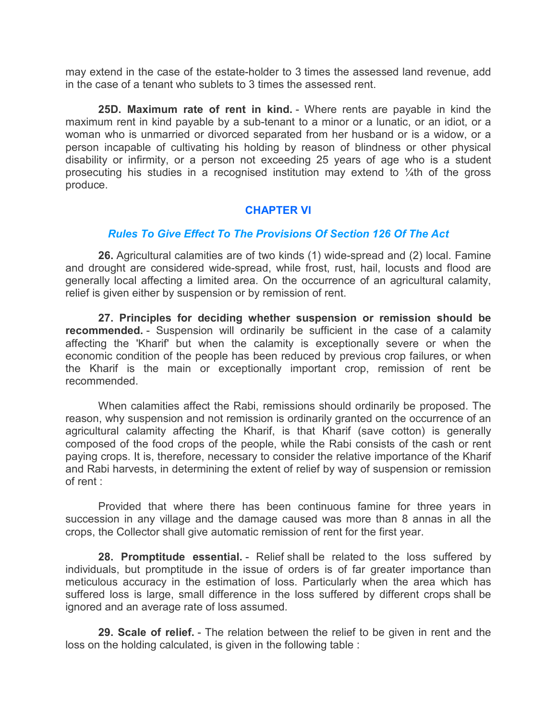may extend in the case of the estate-holder to 3 times the assessed land revenue, add in the case of a tenant who sublets to 3 times the assessed rent.

**25D. Maximum rate of rent in kind.** - Where rents are payable in kind the maximum rent in kind payable by a sub-tenant to a minor or a lunatic, or an idiot, or a woman who is unmarried or divorced separated from her husband or is a widow, or a person incapable of cultivating his holding by reason of blindness or other physical disability or infirmity, or a person not exceeding 25 years of age who is a student prosecuting his studies in a recognised institution may extend to  $\frac{1}{4}$ th of the gross produce.

#### **CHAPTER VI**

#### *Rules To Give Effect To The Provisions Of Section 126 Of The Act*

**26.** Agricultural calamities are of two kinds (1) wide-spread and (2) local. Famine and drought are considered wide-spread, while frost, rust, hail, locusts and flood are generally local affecting a limited area. On the occurrence of an agricultural calamity, relief is given either by suspension or by remission of rent.

**27. Principles for deciding whether suspension or remission should be recommended.** - Suspension will ordinarily be sufficient in the case of a calamity affecting the 'Kharif' but when the calamity is exceptionally severe or when the economic condition of the people has been reduced by previous crop failures, or when the Kharif is the main or exceptionally important crop, remission of rent be recommended.

When calamities affect the Rabi, remissions should ordinarily be proposed. The reason, why suspension and not remission is ordinarily granted on the occurrence of an agricultural calamity affecting the Kharif, is that Kharif (save cotton) is generally composed of the food crops of the people, while the Rabi consists of the cash or rent paying crops. It is, therefore, necessary to consider the relative importance of the Kharif and Rabi harvests, in determining the extent of relief by way of suspension or remission of rent :

Provided that where there has been continuous famine for three years in succession in any village and the damage caused was more than 8 annas in all the crops, the Collector shall give automatic remission of rent for the first year.

**28. Promptitude essential.** - Relief shall be related to the loss suffered by individuals, but promptitude in the issue of orders is of far greater importance than meticulous accuracy in the estimation of loss. Particularly when the area which has suffered loss is large, small difference in the loss suffered by different crops shall be ignored and an average rate of loss assumed.

**29. Scale of relief.** - The relation between the relief to be given in rent and the loss on the holding calculated, is given in the following table :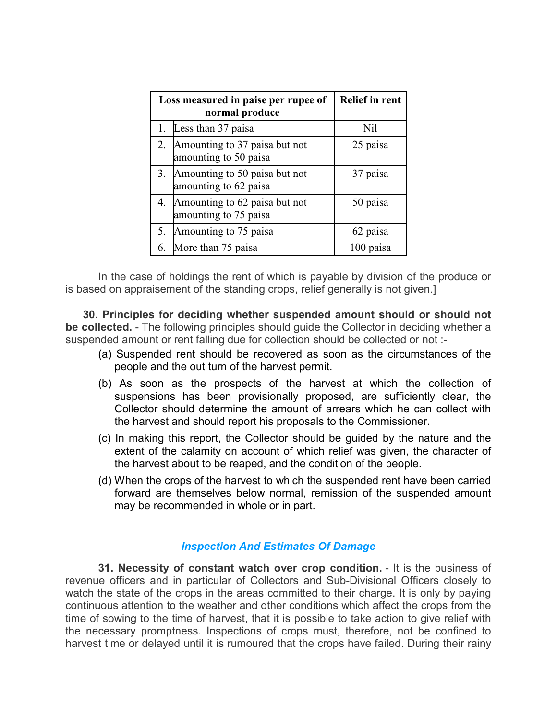|    | Loss measured in paise per rupee of<br>normal produce     | <b>Relief in rent</b> |
|----|-----------------------------------------------------------|-----------------------|
| 1. | Less than 37 paisa                                        | Nil                   |
|    | 2. Amounting to 37 paisa but not<br>amounting to 50 paisa | 25 paisa              |
|    | 3. Amounting to 50 paisa but not<br>amounting to 62 paisa | 37 paisa              |
|    | 4. Amounting to 62 paisa but not<br>amounting to 75 paisa | 50 paisa              |
| 5. | Amounting to 75 paisa                                     | 62 paisa              |
| 6. | More than 75 paisa                                        | 100 paisa             |

In the case of holdings the rent of which is payable by division of the produce or is based on appraisement of the standing crops, relief generally is not given.]

**30. Principles for deciding whether suspended amount should or should not be collected.** - The following principles should guide the Collector in deciding whether a suspended amount or rent falling due for collection should be collected or not :-

- (a) Suspended rent should be recovered as soon as the circumstances of the people and the out turn of the harvest permit.
- (b) As soon as the prospects of the harvest at which the collection of suspensions has been provisionally proposed, are sufficiently clear, the Collector should determine the amount of arrears which he can collect with the harvest and should report his proposals to the Commissioner.
- (c) In making this report, the Collector should be guided by the nature and the extent of the calamity on account of which relief was given, the character of the harvest about to be reaped, and the condition of the people.
- (d) When the crops of the harvest to which the suspended rent have been carried forward are themselves below normal, remission of the suspended amount may be recommended in whole or in part.

#### *Inspection And Estimates Of Damage*

**31. Necessity of constant watch over crop condition.** - It is the business of revenue officers and in particular of Collectors and Sub-Divisional Officers closely to watch the state of the crops in the areas committed to their charge. It is only by paying continuous attention to the weather and other conditions which affect the crops from the time of sowing to the time of harvest, that it is possible to take action to give relief with the necessary promptness. Inspections of crops must, therefore, not be confined to harvest time or delayed until it is rumoured that the crops have failed. During their rainy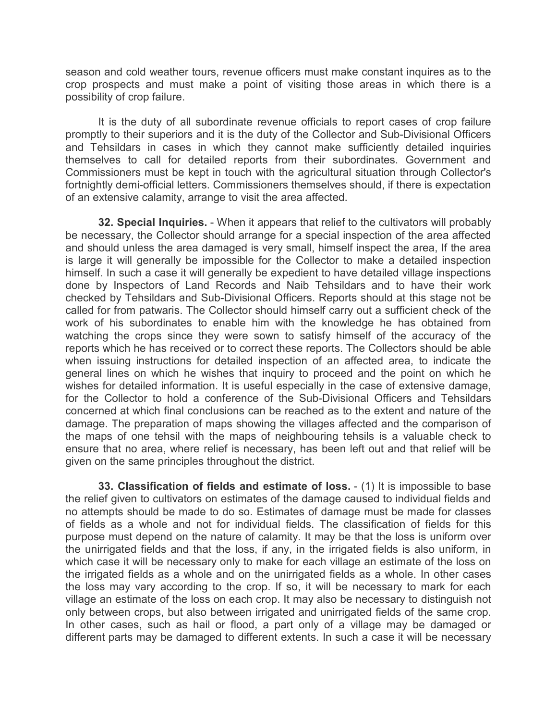season and cold weather tours, revenue officers must make constant inquires as to the crop prospects and must make a point of visiting those areas in which there is a possibility of crop failure.

It is the duty of all subordinate revenue officials to report cases of crop failure promptly to their superiors and it is the duty of the Collector and Sub-Divisional Officers and Tehsildars in cases in which they cannot make sufficiently detailed inquiries themselves to call for detailed reports from their subordinates. Government and Commissioners must be kept in touch with the agricultural situation through Collector's fortnightly demi-official letters. Commissioners themselves should, if there is expectation of an extensive calamity, arrange to visit the area affected.

**32. Special Inquiries.** - When it appears that relief to the cultivators will probably be necessary, the Collector should arrange for a special inspection of the area affected and should unless the area damaged is very small, himself inspect the area, If the area is large it will generally be impossible for the Collector to make a detailed inspection himself. In such a case it will generally be expedient to have detailed village inspections done by Inspectors of Land Records and Naib Tehsildars and to have their work checked by Tehsildars and Sub-Divisional Officers. Reports should at this stage not be called for from patwaris. The Collector should himself carry out a sufficient check of the work of his subordinates to enable him with the knowledge he has obtained from watching the crops since they were sown to satisfy himself of the accuracy of the reports which he has received or to correct these reports. The Collectors should be able when issuing instructions for detailed inspection of an affected area, to indicate the general lines on which he wishes that inquiry to proceed and the point on which he wishes for detailed information. It is useful especially in the case of extensive damage, for the Collector to hold a conference of the Sub-Divisional Officers and Tehsildars concerned at which final conclusions can be reached as to the extent and nature of the damage. The preparation of maps showing the villages affected and the comparison of the maps of one tehsil with the maps of neighbouring tehsils is a valuable check to ensure that no area, where relief is necessary, has been left out and that relief will be given on the same principles throughout the district.

**33. Classification of fields and estimate of loss.** - (1) It is impossible to base the relief given to cultivators on estimates of the damage caused to individual fields and no attempts should be made to do so. Estimates of damage must be made for classes of fields as a whole and not for individual fields. The classification of fields for this purpose must depend on the nature of calamity. It may be that the loss is uniform over the unirrigated fields and that the loss, if any, in the irrigated fields is also uniform, in which case it will be necessary only to make for each village an estimate of the loss on the irrigated fields as a whole and on the unirrigated fields as a whole. In other cases the loss may vary according to the crop. If so, it will be necessary to mark for each village an estimate of the loss on each crop. It may also be necessary to distinguish not only between crops, but also between irrigated and unirrigated fields of the same crop. In other cases, such as hail or flood, a part only of a village may be damaged or different parts may be damaged to different extents. In such a case it will be necessary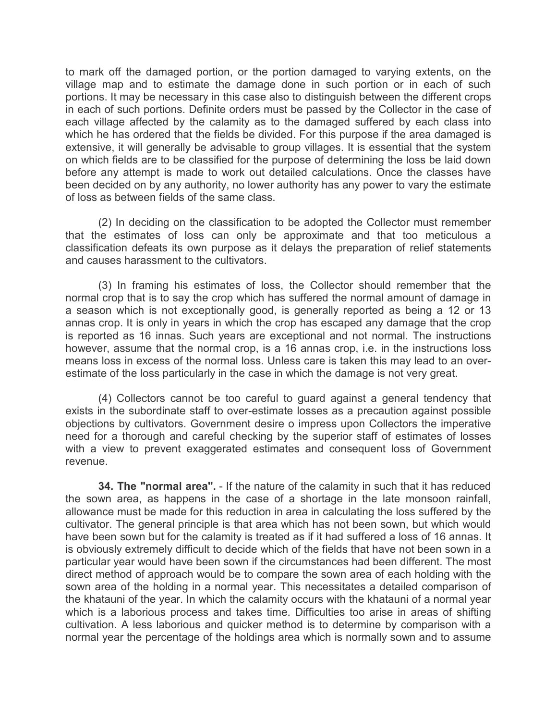to mark off the damaged portion, or the portion damaged to varying extents, on the village map and to estimate the damage done in such portion or in each of such portions. It may be necessary in this case also to distinguish between the different crops in each of such portions. Definite orders must be passed by the Collector in the case of each village affected by the calamity as to the damaged suffered by each class into which he has ordered that the fields be divided. For this purpose if the area damaged is extensive, it will generally be advisable to group villages. It is essential that the system on which fields are to be classified for the purpose of determining the loss be laid down before any attempt is made to work out detailed calculations. Once the classes have been decided on by any authority, no lower authority has any power to vary the estimate of loss as between fields of the same class.

(2) In deciding on the classification to be adopted the Collector must remember that the estimates of loss can only be approximate and that too meticulous a classification defeats its own purpose as it delays the preparation of relief statements and causes harassment to the cultivators.

(3) In framing his estimates of loss, the Collector should remember that the normal crop that is to say the crop which has suffered the normal amount of damage in a season which is not exceptionally good, is generally reported as being a 12 or 13 annas crop. It is only in years in which the crop has escaped any damage that the crop is reported as 16 innas. Such years are exceptional and not normal. The instructions however, assume that the normal crop, is a 16 annas crop, i.e. in the instructions loss means loss in excess of the normal loss. Unless care is taken this may lead to an overestimate of the loss particularly in the case in which the damage is not very great.

(4) Collectors cannot be too careful to guard against a general tendency that exists in the subordinate staff to over-estimate losses as a precaution against possible objections by cultivators. Government desire o impress upon Collectors the imperative need for a thorough and careful checking by the superior staff of estimates of losses with a view to prevent exaggerated estimates and consequent loss of Government revenue.

**34. The "normal area".** - If the nature of the calamity in such that it has reduced the sown area, as happens in the case of a shortage in the late monsoon rainfall, allowance must be made for this reduction in area in calculating the loss suffered by the cultivator. The general principle is that area which has not been sown, but which would have been sown but for the calamity is treated as if it had suffered a loss of 16 annas. It is obviously extremely difficult to decide which of the fields that have not been sown in a particular year would have been sown if the circumstances had been different. The most direct method of approach would be to compare the sown area of each holding with the sown area of the holding in a normal year. This necessitates a detailed comparison of the khatauni of the year. In which the calamity occurs with the khatauni of a normal year which is a laborious process and takes time. Difficulties too arise in areas of shifting cultivation. A less laborious and quicker method is to determine by comparison with a normal year the percentage of the holdings area which is normally sown and to assume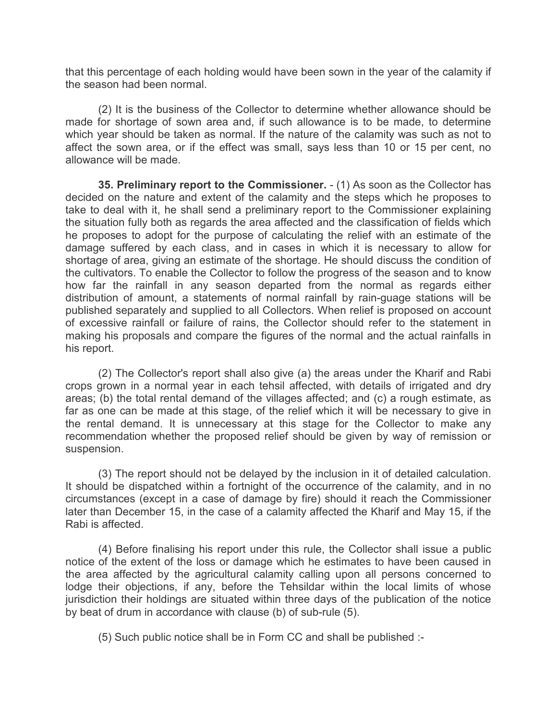that this percentage of each holding would have been sown in the year of the calamity if the season had been normal.

(2) It is the business of the Collector to determine whether allowance should be made for shortage of sown area and, if such allowance is to be made, to determine which year should be taken as normal. If the nature of the calamity was such as not to affect the sown area, or if the effect was small, says less than 10 or 15 per cent, no allowance will be made.

**35. Preliminary report to the Commissioner.** - (1) As soon as the Collector has decided on the nature and extent of the calamity and the steps which he proposes to take to deal with it, he shall send a preliminary report to the Commissioner explaining the situation fully both as regards the area affected and the classification of fields which he proposes to adopt for the purpose of calculating the relief with an estimate of the damage suffered by each class, and in cases in which it is necessary to allow for shortage of area, giving an estimate of the shortage. He should discuss the condition of the cultivators. To enable the Collector to follow the progress of the season and to know how far the rainfall in any season departed from the normal as regards either distribution of amount, a statements of normal rainfall by rain-guage stations will be published separately and supplied to all Collectors. When relief is proposed on account of excessive rainfall or failure of rains, the Collector should refer to the statement in making his proposals and compare the figures of the normal and the actual rainfalls in his report.

(2) The Collector's report shall also give (a) the areas under the Kharif and Rabi crops grown in a normal year in each tehsil affected, with details of irrigated and dry areas; (b) the total rental demand of the villages affected; and (c) a rough estimate, as far as one can be made at this stage, of the relief which it will be necessary to give in the rental demand. It is unnecessary at this stage for the Collector to make any recommendation whether the proposed relief should be given by way of remission or suspension.

(3) The report should not be delayed by the inclusion in it of detailed calculation. It should be dispatched within a fortnight of the occurrence of the calamity, and in no circumstances (except in a case of damage by fire) should it reach the Commissioner later than December 15, in the case of a calamity affected the Kharif and May 15, if the Rabi is affected.

(4) Before finalising his report under this rule, the Collector shall issue a public notice of the extent of the loss or damage which he estimates to have been caused in the area affected by the agricultural calamity calling upon all persons concerned to lodge their objections, if any, before the Tehsildar within the local limits of whose jurisdiction their holdings are situated within three days of the publication of the notice by beat of drum in accordance with clause (b) of sub-rule (5).

(5) Such public notice shall be in Form CC and shall be published :-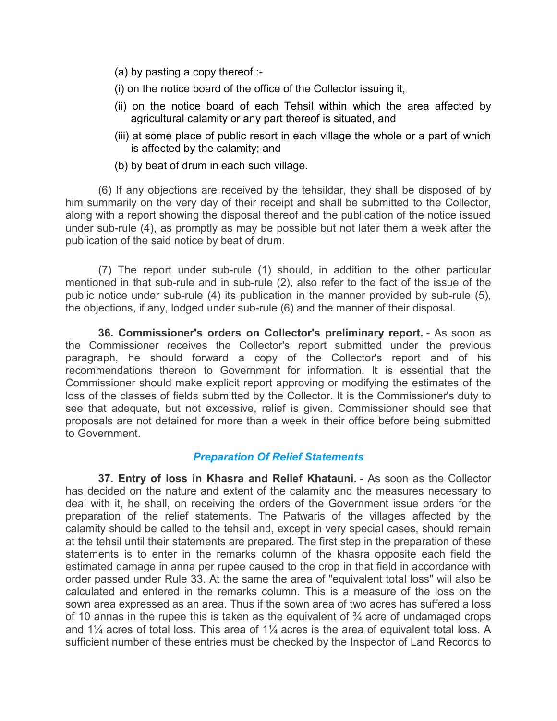- (a) by pasting a copy thereof :-
- (i) on the notice board of the office of the Collector issuing it,
- (ii) on the notice board of each Tehsil within which the area affected by agricultural calamity or any part thereof is situated, and
- (iii) at some place of public resort in each village the whole or a part of which is affected by the calamity; and
- (b) by beat of drum in each such village.

(6) If any objections are received by the tehsildar, they shall be disposed of by him summarily on the very day of their receipt and shall be submitted to the Collector, along with a report showing the disposal thereof and the publication of the notice issued under sub-rule (4), as promptly as may be possible but not later them a week after the publication of the said notice by beat of drum.

(7) The report under sub-rule (1) should, in addition to the other particular mentioned in that sub-rule and in sub-rule (2), also refer to the fact of the issue of the public notice under sub-rule (4) its publication in the manner provided by sub-rule (5), the objections, if any, lodged under sub-rule (6) and the manner of their disposal.

**36. Commissioner's orders on Collector's preliminary report.** - As soon as the Commissioner receives the Collector's report submitted under the previous paragraph, he should forward a copy of the Collector's report and of his recommendations thereon to Government for information. It is essential that the Commissioner should make explicit report approving or modifying the estimates of the loss of the classes of fields submitted by the Collector. It is the Commissioner's duty to see that adequate, but not excessive, relief is given. Commissioner should see that proposals are not detained for more than a week in their office before being submitted to Government.

#### *Preparation Of Relief Statements*

**37. Entry of loss in Khasra and Relief Khatauni.** - As soon as the Collector has decided on the nature and extent of the calamity and the measures necessary to deal with it, he shall, on receiving the orders of the Government issue orders for the preparation of the relief statements. The Patwaris of the villages affected by the calamity should be called to the tehsil and, except in very special cases, should remain at the tehsil until their statements are prepared. The first step in the preparation of these statements is to enter in the remarks column of the khasra opposite each field the estimated damage in anna per rupee caused to the crop in that field in accordance with order passed under Rule 33. At the same the area of "equivalent total loss" will also be calculated and entered in the remarks column. This is a measure of the loss on the sown area expressed as an area. Thus if the sown area of two acres has suffered a loss of 10 annas in the rupee this is taken as the equivalent of  $\frac{3}{4}$  acre of undamaged crops and 1¼ acres of total loss. This area of 1¼ acres is the area of equivalent total loss. A sufficient number of these entries must be checked by the Inspector of Land Records to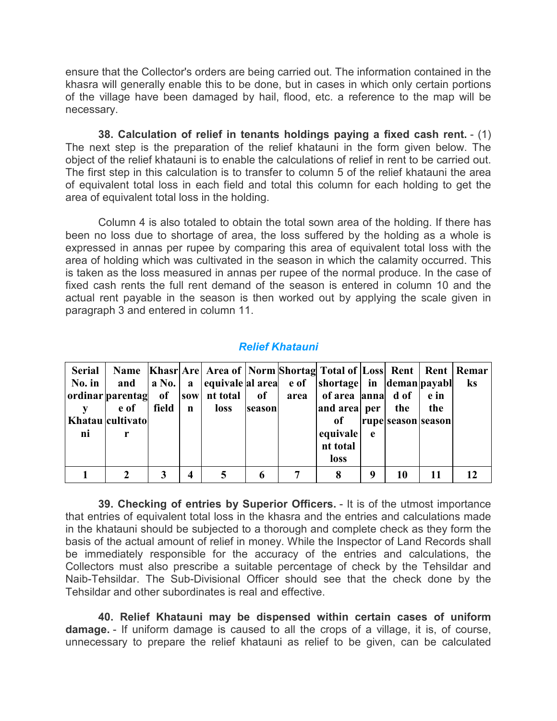ensure that the Collector's orders are being carried out. The information contained in the khasra will generally enable this to be done, but in cases in which only certain portions of the village have been damaged by hail, flood, etc. a reference to the map will be necessary.

**38. Calculation of relief in tenants holdings paying a fixed cash rent.** - (1) The next step is the preparation of the relief khatauni in the form given below. The object of the relief khatauni is to enable the calculations of relief in rent to be carried out. The first step in this calculation is to transfer to column 5 of the relief khatauni the area of equivalent total loss in each field and total this column for each holding to get the area of equivalent total loss in the holding.

Column 4 is also totaled to obtain the total sown area of the holding. If there has been no loss due to shortage of area, the loss suffered by the holding as a whole is expressed in annas per rupee by comparing this area of equivalent total loss with the area of holding which was cultivated in the season in which the calamity occurred. This is taken as the loss measured in annas per rupee of the normal produce. In the case of fixed cash rents the full rent demand of the season is entered in column 10 and the actual rent payable in the season is then worked out by applying the scale given in paragraph 3 and entered in column 11.

| <b>Relief Khatauni</b> |  |
|------------------------|--|

| <b>Serial</b><br>$\bf{No.}$ in<br>ni | and<br>e of<br>Khatau cultivato | field | $\mathbf{n}$ | ordinar parentag   of     sow   nt total  <br>loss | of<br>season | Name   Khasr   Arel Area of   Norm   Shortag   Total of   Loss   Rent   Rent   Remar<br>a No.   a  equivale al area   e of  shortage  in  deman payabl<br>area   of area   anna   d of<br>and area per<br>of<br>equivale | e | the<br>rupe season season | e in<br>the | ks |
|--------------------------------------|---------------------------------|-------|--------------|----------------------------------------------------|--------------|--------------------------------------------------------------------------------------------------------------------------------------------------------------------------------------------------------------------------|---|---------------------------|-------------|----|
|                                      |                                 |       |              |                                                    |              | nt total<br><b>loss</b>                                                                                                                                                                                                  |   |                           |             |    |
|                                      |                                 |       | 4            |                                                    |              | 8                                                                                                                                                                                                                        | 9 | 10                        |             |    |

**39. Checking of entries by Superior Officers.** - It is of the utmost importance that entries of equivalent total loss in the khasra and the entries and calculations made in the khatauni should be subjected to a thorough and complete check as they form the basis of the actual amount of relief in money. While the Inspector of Land Records shall be immediately responsible for the accuracy of the entries and calculations, the Collectors must also prescribe a suitable percentage of check by the Tehsildar and Naib-Tehsildar. The Sub-Divisional Officer should see that the check done by the Tehsildar and other subordinates is real and effective.

**40. Relief Khatauni may be dispensed within certain cases of uniform damage.** - If uniform damage is caused to all the crops of a village, it is, of course, unnecessary to prepare the relief khatauni as relief to be given, can be calculated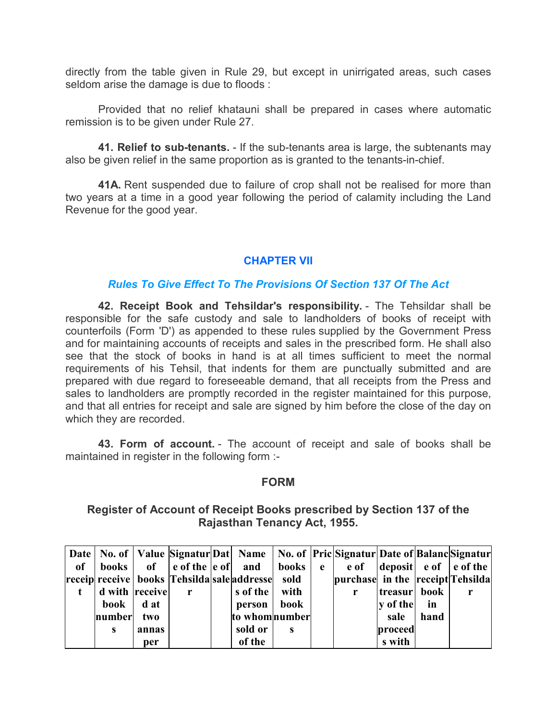directly from the table given in Rule 29, but except in unirrigated areas, such cases seldom arise the damage is due to floods :

Provided that no relief khatauni shall be prepared in cases where automatic remission is to be given under Rule 27.

**41. Relief to sub-tenants.** - If the sub-tenants area is large, the subtenants may also be given relief in the same proportion as is granted to the tenants-in-chief.

**41A.** Rent suspended due to failure of crop shall not be realised for more than two years at a time in a good year following the period of calamity including the Land Revenue for the good year.

# **CHAPTER VII**

#### *Rules To Give Effect To The Provisions Of Section 137 Of The Act*

**42. Receipt Book and Tehsildar's responsibility.** - The Tehsildar shall be responsible for the safe custody and sale to landholders of books of receipt with counterfoils (Form 'D') as appended to these rules supplied by the Government Press and for maintaining accounts of receipts and sales in the prescribed form. He shall also see that the stock of books in hand is at all times sufficient to meet the normal requirements of his Tehsil, that indents for them are punctually submitted and are prepared with due regard to foreseeable demand, that all receipts from the Press and sales to landholders are promptly recorded in the register maintained for this purpose, and that all entries for receipt and sale are signed by him before the close of the day on which they are recorded.

**43. Form of account.** - The account of receipt and sale of books shall be maintained in register in the following form :-

#### **FORM**

#### **Register of Account of Receipt Books prescribed by Section 137 of the Rajasthan Tenancy Act, 1955.**

|    |                   |       |                                                                              |                |      | Date   No. of   Value   Signatur Dat   Name   No. of   Pric   Signatur Date of   Balanc   Signatur |              |      |                               |
|----|-------------------|-------|------------------------------------------------------------------------------|----------------|------|----------------------------------------------------------------------------------------------------|--------------|------|-------------------------------|
| of |                   |       | books $\int$ of $\int$ e of the $\int$ e of and $\int$ books $\int$ e $\int$ |                |      |                                                                                                    |              |      | e of  deposit  e of  e of the |
|    |                   |       | receip  receive   books  Tehsilda  sale  addresse   sold                     |                |      | purchase in the receipt Tehsilda                                                                   |              |      |                               |
|    | d with receive    |       | $\mathbf{r}$                                                                 | s of the       | with | r                                                                                                  | treasur book |      |                               |
|    | book $\vert$ d at |       |                                                                              | person         | book |                                                                                                    | y of the     | in   |                               |
|    | number            | two   |                                                                              | to whom number |      |                                                                                                    | sale         | hand |                               |
|    | s                 | annas |                                                                              | sold or        | s    |                                                                                                    | proceed      |      |                               |
|    |                   | per   |                                                                              | of the         |      |                                                                                                    | s with       |      |                               |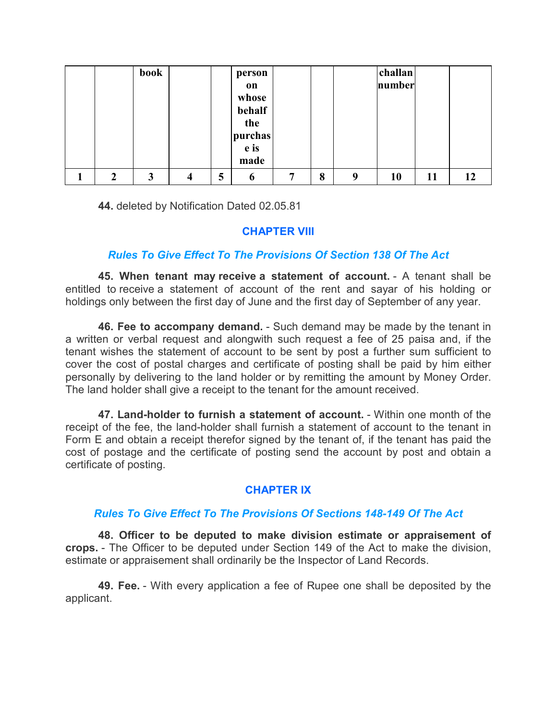|   | book |   |   | person                                          |   |   |   | challan |    |    |
|---|------|---|---|-------------------------------------------------|---|---|---|---------|----|----|
|   |      |   |   | on<br>whose<br>behalf<br>the<br>purchas<br>e is |   |   |   | number  |    |    |
|   |      |   |   | made                                            |   |   |   |         |    |    |
| י | 3    | 4 | 5 | 6                                               | 7 | 8 | 9 | 10      | 11 | 12 |

**44.** deleted by Notification Dated 02.05.81

## **CHAPTER VIII**

# *Rules To Give Effect To The Provisions Of Section 138 Of The Act*

**45. When tenant may receive a statement of account.** - A tenant shall be entitled to receive a statement of account of the rent and sayar of his holding or holdings only between the first day of June and the first day of September of any year.

**46. Fee to accompany demand.** - Such demand may be made by the tenant in a written or verbal request and alongwith such request a fee of 25 paisa and, if the tenant wishes the statement of account to be sent by post a further sum sufficient to cover the cost of postal charges and certificate of posting shall be paid by him either personally by delivering to the land holder or by remitting the amount by Money Order. The land holder shall give a receipt to the tenant for the amount received.

**47. Land-holder to furnish a statement of account.** - Within one month of the receipt of the fee, the land-holder shall furnish a statement of account to the tenant in Form E and obtain a receipt therefor signed by the tenant of, if the tenant has paid the cost of postage and the certificate of posting send the account by post and obtain a certificate of posting.

# **CHAPTER IX**

# *Rules To Give Effect To The Provisions Of Sections 148-149 Of The Act*

**48. Officer to be deputed to make division estimate or appraisement of crops.** - The Officer to be deputed under Section 149 of the Act to make the division, estimate or appraisement shall ordinarily be the Inspector of Land Records.

**49. Fee.** - With every application a fee of Rupee one shall be deposited by the applicant.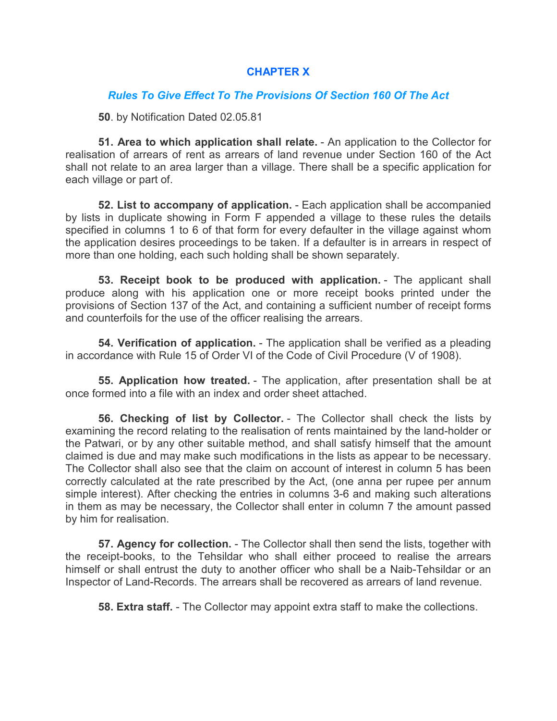## **CHAPTER X**

#### *Rules To Give Effect To The Provisions Of Section 160 Of The Act*

**50**. by Notification Dated 02.05.81

**51. Area to which application shall relate.** - An application to the Collector for realisation of arrears of rent as arrears of land revenue under Section 160 of the Act shall not relate to an area larger than a village. There shall be a specific application for each village or part of.

**52. List to accompany of application.** - Each application shall be accompanied by lists in duplicate showing in Form F appended a village to these rules the details specified in columns 1 to 6 of that form for every defaulter in the village against whom the application desires proceedings to be taken. If a defaulter is in arrears in respect of more than one holding, each such holding shall be shown separately.

**53. Receipt book to be produced with application.** - The applicant shall produce along with his application one or more receipt books printed under the provisions of Section 137 of the Act, and containing a sufficient number of receipt forms and counterfoils for the use of the officer realising the arrears.

**54. Verification of application.** - The application shall be verified as a pleading in accordance with Rule 15 of Order VI of the Code of Civil Procedure (V of 1908).

**55. Application how treated.** - The application, after presentation shall be at once formed into a file with an index and order sheet attached.

**56. Checking of list by Collector.** - The Collector shall check the lists by examining the record relating to the realisation of rents maintained by the land-holder or the Patwari, or by any other suitable method, and shall satisfy himself that the amount claimed is due and may make such modifications in the lists as appear to be necessary. The Collector shall also see that the claim on account of interest in column 5 has been correctly calculated at the rate prescribed by the Act, (one anna per rupee per annum simple interest). After checking the entries in columns 3-6 and making such alterations in them as may be necessary, the Collector shall enter in column 7 the amount passed by him for realisation.

**57. Agency for collection.** - The Collector shall then send the lists, together with the receipt-books, to the Tehsildar who shall either proceed to realise the arrears himself or shall entrust the duty to another officer who shall be a Naib-Tehsildar or an Inspector of Land-Records. The arrears shall be recovered as arrears of land revenue.

**58. Extra staff.** - The Collector may appoint extra staff to make the collections.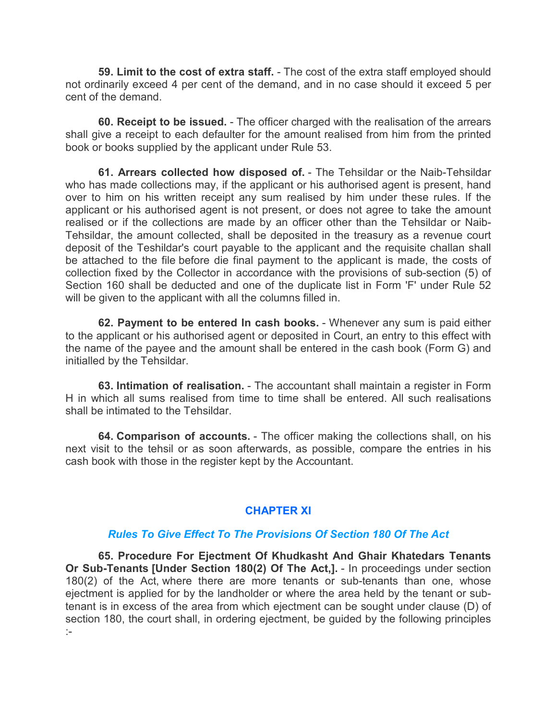**59. Limit to the cost of extra staff.** - The cost of the extra staff employed should not ordinarily exceed 4 per cent of the demand, and in no case should it exceed 5 per cent of the demand.

**60. Receipt to be issued.** - The officer charged with the realisation of the arrears shall give a receipt to each defaulter for the amount realised from him from the printed book or books supplied by the applicant under Rule 53.

**61. Arrears collected how disposed of.** - The Tehsildar or the Naib-Tehsildar who has made collections may, if the applicant or his authorised agent is present, hand over to him on his written receipt any sum realised by him under these rules. If the applicant or his authorised agent is not present, or does not agree to take the amount realised or if the collections are made by an officer other than the Tehsildar or Naib-Tehsildar, the amount collected, shall be deposited in the treasury as a revenue court deposit of the Teshildar's court payable to the applicant and the requisite challan shall be attached to the file before die final payment to the applicant is made, the costs of collection fixed by the Collector in accordance with the provisions of sub-section (5) of Section 160 shall be deducted and one of the duplicate list in Form 'F' under Rule 52 will be given to the applicant with all the columns filled in.

**62. Payment to be entered In cash books.** - Whenever any sum is paid either to the applicant or his authorised agent or deposited in Court, an entry to this effect with the name of the payee and the amount shall be entered in the cash book (Form G) and initialled by the Tehsildar.

**63. Intimation of realisation.** - The accountant shall maintain a register in Form H in which all sums realised from time to time shall be entered. All such realisations shall be intimated to the Tehsildar.

**64. Comparison of accounts.** - The officer making the collections shall, on his next visit to the tehsil or as soon afterwards, as possible, compare the entries in his cash book with those in the register kept by the Accountant.

#### **CHAPTER XI**

#### *Rules To Give Effect To The Provisions Of Section 180 Of The Act*

**65. Procedure For Ejectment Of Khudkasht And Ghair Khatedars Tenants Or Sub-Tenants [Under Section 180(2) Of The Act,].** - In proceedings under section 180(2) of the Act, where there are more tenants or sub-tenants than one, whose ejectment is applied for by the landholder or where the area held by the tenant or subtenant is in excess of the area from which ejectment can be sought under clause (D) of section 180, the court shall, in ordering ejectment, be guided by the following principles :-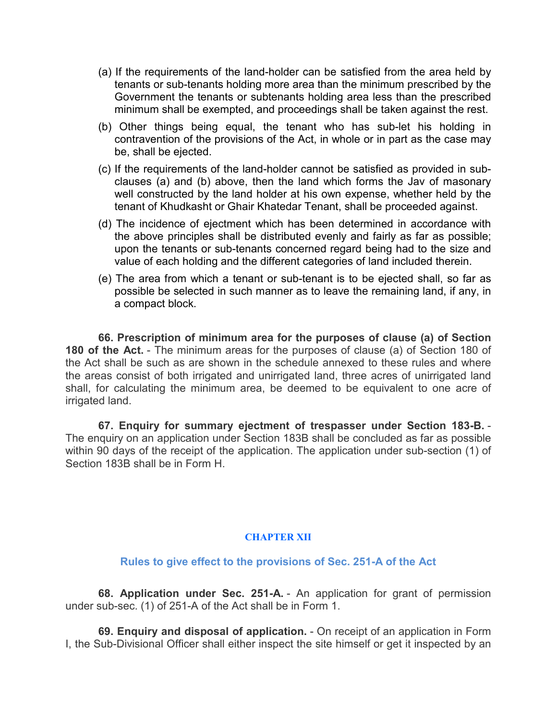- (a) If the requirements of the land-holder can be satisfied from the area held by tenants or sub-tenants holding more area than the minimum prescribed by the Government the tenants or subtenants holding area less than the prescribed minimum shall be exempted, and proceedings shall be taken against the rest.
- (b) Other things being equal, the tenant who has sub-let his holding in contravention of the provisions of the Act, in whole or in part as the case may be, shall be ejected.
- (c) If the requirements of the land-holder cannot be satisfied as provided in subclauses (a) and (b) above, then the land which forms the Jav of masonary well constructed by the land holder at his own expense, whether held by the tenant of Khudkasht or Ghair Khatedar Tenant, shall be proceeded against.
- (d) The incidence of ejectment which has been determined in accordance with the above principles shall be distributed evenly and fairly as far as possible; upon the tenants or sub-tenants concerned regard being had to the size and value of each holding and the different categories of land included therein.
- (e) The area from which a tenant or sub-tenant is to be ejected shall, so far as possible be selected in such manner as to leave the remaining land, if any, in a compact block.

**66. Prescription of minimum area for the purposes of clause (a) of Section 180 of the Act.** - The minimum areas for the purposes of clause (a) of Section 180 of the Act shall be such as are shown in the schedule annexed to these rules and where the areas consist of both irrigated and unirrigated land, three acres of unirrigated land shall, for calculating the minimum area, be deemed to be equivalent to one acre of irrigated land.

**67. Enquiry for summary ejectment of trespasser under Section 183-B.** - The enquiry on an application under Section 183B shall be concluded as far as possible within 90 days of the receipt of the application. The application under sub-section (1) of Section 183B shall be in Form H.

#### **CHAPTER XII**

#### **Rules to give effect to the provisions of Sec. 251-A of the Act**

**68. Application under Sec. 251-A.** - An application for grant of permission under sub-sec. (1) of 251-A of the Act shall be in Form 1.

**69. Enquiry and disposal of application.** - On receipt of an application in Form I, the Sub-Divisional Officer shall either inspect the site himself or get it inspected by an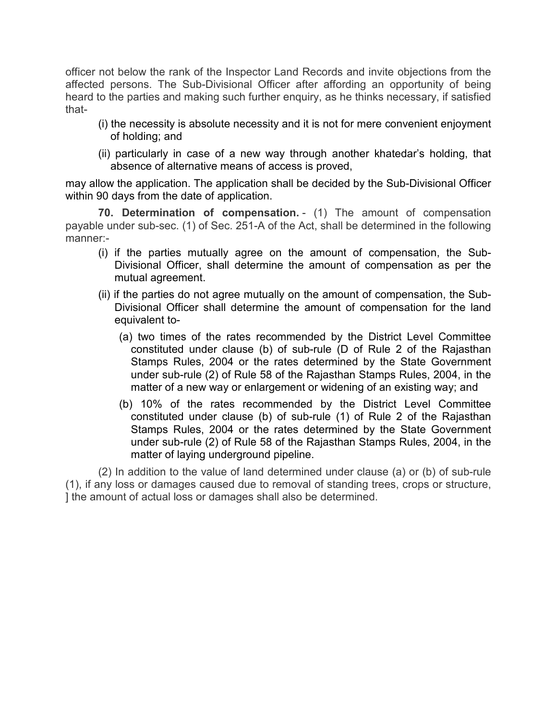officer not below the rank of the Inspector Land Records and invite objections from the affected persons. The Sub-Divisional Officer after affording an opportunity of being heard to the parties and making such further enquiry, as he thinks necessary, if satisfied that-

- (i) the necessity is absolute necessity and it is not for mere convenient enjoyment of holding; and
- (ii) particularly in case of a new way through another khatedar's holding, that absence of alternative means of access is proved,

may allow the application. The application shall be decided by the Sub-Divisional Officer within 90 days from the date of application.

**70. Determination of compensation.** - (1) The amount of compensation payable under sub-sec. (1) of Sec. 251-A of the Act, shall be determined in the following manner:-

- (i) if the parties mutually agree on the amount of compensation, the Sub-Divisional Officer, shall determine the amount of compensation as per the mutual agreement.
- (ii) if the parties do not agree mutually on the amount of compensation, the Sub-Divisional Officer shall determine the amount of compensation for the land equivalent to-
	- (a) two times of the rates recommended by the District Level Committee constituted under clause (b) of sub-rule (D of Rule 2 of the Rajasthan Stamps Rules, 2004 or the rates determined by the State Government under sub-rule (2) of Rule 58 of the Rajasthan Stamps Rules, 2004, in the matter of a new way or enlargement or widening of an existing way; and
	- (b) 10% of the rates recommended by the District Level Committee constituted under clause (b) of sub-rule (1) of Rule 2 of the Rajasthan Stamps Rules, 2004 or the rates determined by the State Government under sub-rule (2) of Rule 58 of the Rajasthan Stamps Rules, 2004, in the matter of laying underground pipeline.

(2) In addition to the value of land determined under clause (a) or (b) of sub-rule (1), if any loss or damages caused due to removal of standing trees, crops or structure, ] the amount of actual loss or damages shall also be determined.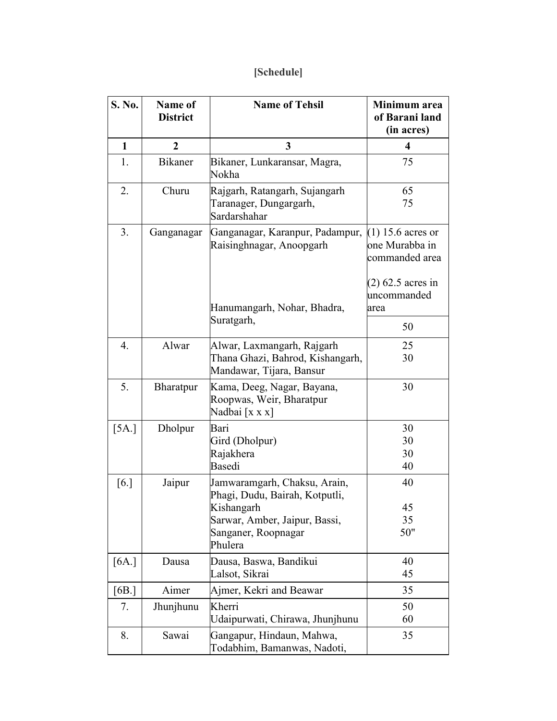# **[Schedule]**

| S. No.           | Name of<br><b>District</b>  | <b>Name of Tehsil</b>                                                                                                                           | Minimum area<br>of Barani land<br>(in acres)            |
|------------------|-----------------------------|-------------------------------------------------------------------------------------------------------------------------------------------------|---------------------------------------------------------|
| $\mathbf{1}$     | $\overline{2}$              | 3                                                                                                                                               | 4                                                       |
| 1.               | <b>Bikaner</b>              | Bikaner, Lunkaransar, Magra,<br>Nokha                                                                                                           | 75                                                      |
| 2.               | Churu                       | Rajgarh, Ratangarh, Sujangarh<br>Taranager, Dungargarh,<br>Sardarshahar                                                                         | 65<br>75                                                |
| 3.               | Ganganagar                  | Ganganagar, Karanpur, Padampur,<br>Raisinghnagar, Anoopgarh                                                                                     | $(1)$ 15.6 acres or<br>one Murabba in<br>commanded area |
|                  | Hanumangarh, Nohar, Bhadra, |                                                                                                                                                 | $(2)$ 62.5 acres in<br>uncommanded<br>area              |
|                  |                             | Suratgarh,                                                                                                                                      | 50                                                      |
| $\overline{4}$ . | Alwar                       | Alwar, Laxmangarh, Rajgarh<br>Thana Ghazi, Bahrod, Kishangarh,<br>Mandawar, Tijara, Bansur                                                      | 25<br>30                                                |
| 5.               | Bharatpur                   | Kama, Deeg, Nagar, Bayana,<br>Roopwas, Weir, Bharatpur<br>Nadbai [x x x]                                                                        | 30                                                      |
| [5A.]            | Dholpur                     | Bari<br>Gird (Dholpur)<br>Rajakhera<br>Basedi                                                                                                   | 30<br>30<br>30<br>40                                    |
| [6.]             | Jaipur                      | Jamwaramgarh, Chaksu, Arain,<br>Phagi, Dudu, Bairah, Kotputli,<br>Kishangarh<br>Sarwar, Amber, Jaipur, Bassi,<br>Sanganer, Roopnagar<br>Phulera | 40<br>45<br>35<br>50"                                   |
| [6A.]            | Dausa                       | Dausa, Baswa, Bandikui<br>Lalsot, Sikrai                                                                                                        | 40<br>45                                                |
| [6B.]            | Aimer                       | Ajmer, Kekri and Beawar                                                                                                                         | 35                                                      |
| 7.               | Jhunjhunu                   | Kherri<br>Udaipurwati, Chirawa, Jhunjhunu                                                                                                       | 50<br>60                                                |
| 8.               | Sawai                       | Gangapur, Hindaun, Mahwa,<br>Todabhim, Bamanwas, Nadoti,                                                                                        | 35                                                      |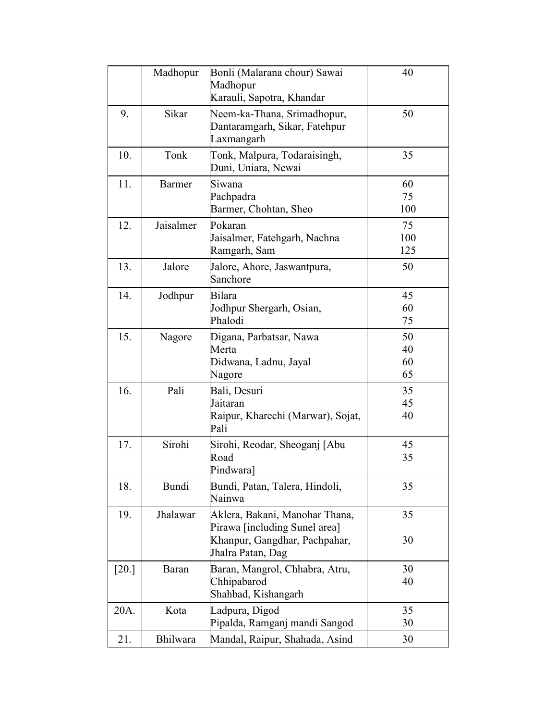|         | Madhopur      | Bonli (Malarana chour) Sawai                                                                                          | 40                   |
|---------|---------------|-----------------------------------------------------------------------------------------------------------------------|----------------------|
|         |               | Madhopur<br>Karauli, Sapotra, Khandar                                                                                 |                      |
| 9.      | Sikar         | Neem-ka-Thana, Srimadhopur,<br>Dantaramgarh, Sikar, Fatehpur<br>Laxmangarh                                            | 50                   |
| 10.     | Tonk          | Tonk, Malpura, Todaraisingh,<br>Duni, Uniara, Newai                                                                   | 35                   |
| 11.     | <b>Barmer</b> | Siwana<br>Pachpadra<br>Barmer, Chohtan, Sheo                                                                          | 60<br>75<br>100      |
| 12.     | Jaisalmer     | Pokaran<br>Jaisalmer, Fatehgarh, Nachna<br>Ramgarh, Sam                                                               | 75<br>100<br>125     |
| 13.     | Jalore        | Jalore, Ahore, Jaswantpura,<br>Sanchore                                                                               | 50                   |
| 14.     | Jodhpur       | Bilara<br>Jodhpur Shergarh, Osian,<br>Phalodi                                                                         | 45<br>60<br>75       |
| 15.     | Nagore        | Digana, Parbatsar, Nawa<br>Merta<br>Didwana, Ladnu, Jayal<br>Nagore                                                   | 50<br>40<br>60<br>65 |
| 16.     | Pali          | Bali, Desuri<br>Jaitaran<br>Raipur, Kharechi (Marwar), Sojat,<br>Pali                                                 | 35<br>45<br>40       |
| 17.     | Sirohi        | Sirohi, Reodar, Sheoganj [Abu<br>Road<br>Pindwara]                                                                    | 45<br>35             |
| 18.     | <b>Bundi</b>  | Bundi, Patan, Talera, Hindoli,<br>Nainwa                                                                              | 35                   |
| 19.     | Jhalawar      | Aklera, Bakani, Manohar Thana,<br>Pirawa [including Sunel area]<br>Khanpur, Gangdhar, Pachpahar,<br>Jhalra Patan, Dag | 35<br>30             |
| $[20.]$ | Baran         | Baran, Mangrol, Chhabra, Atru,<br>Chhipabarod<br>Shahbad, Kishangarh                                                  | 30<br>40             |
| 20A.    | Kota          | Ladpura, Digod<br>Pipalda, Ramganj mandi Sangod                                                                       | 35<br>30             |
| 21.     | Bhilwara      | Mandal, Raipur, Shahada, Asind                                                                                        | 30                   |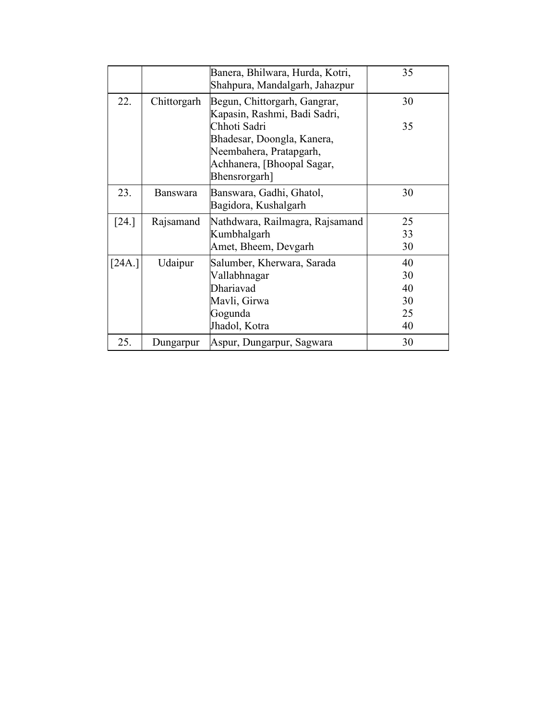|                     |                 | Banera, Bhilwara, Hurda, Kotri,<br>Shahpura, Mandalgarh, Jahazpur                                                    | 35 |
|---------------------|-----------------|----------------------------------------------------------------------------------------------------------------------|----|
| 22.                 | Chittorgarh     | Begun, Chittorgarh, Gangrar,<br>Kapasin, Rashmi, Badi Sadri,                                                         | 30 |
|                     |                 | Chhoti Sadri<br>Bhadesar, Doongla, Kanera,<br>Neembahera, Pratapgarh,<br>Achhanera, [Bhoopal Sagar,<br>Bhensrorgarh] | 35 |
| 23.                 | <b>Banswara</b> | Banswara, Gadhi, Ghatol,<br>Bagidora, Kushalgarh                                                                     | 30 |
| $\lceil 24. \rceil$ | Rajsamand       | Nathdwara, Railmagra, Rajsamand                                                                                      | 25 |
|                     |                 | Kumbhalgarh                                                                                                          | 33 |
|                     |                 | Amet, Bheem, Devgarh                                                                                                 | 30 |
| [24A.]              | Udaipur         | Salumber, Kherwara, Sarada                                                                                           | 40 |
|                     |                 | Vallabhnagar                                                                                                         | 30 |
|                     |                 | Dhariavad                                                                                                            | 40 |
|                     |                 | Mavli, Girwa                                                                                                         | 30 |
|                     |                 | Gogunda                                                                                                              | 25 |
|                     |                 | Jhadol, Kotra                                                                                                        | 40 |
| 25.                 | Dungarpur       | Aspur, Dungarpur, Sagwara                                                                                            | 30 |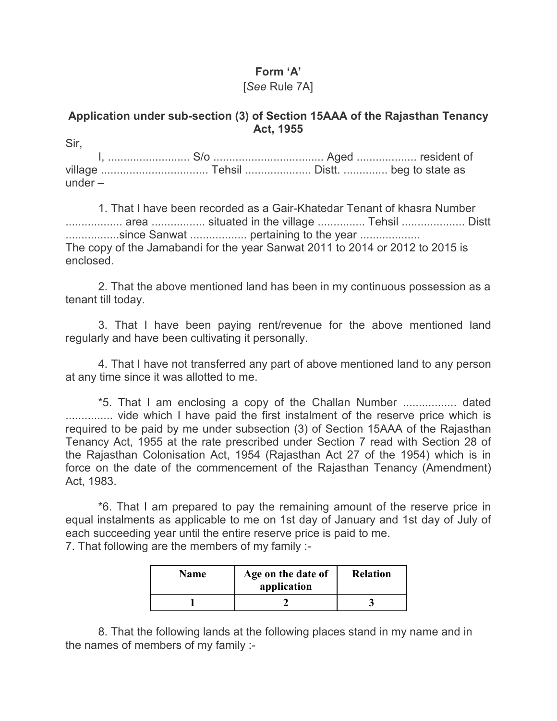# **Form 'A'**

# [*See* Rule 7A]

# **Application under sub-section (3) of Section 15AAA of the Rajasthan Tenancy Act, 1955**

Sir, I, .......................... S/o ................................... Aged ................... resident of village .................................. Tehsil ..................... Distt. .............. beg to state as under –

1. That I have been recorded as a Gair-Khatedar Tenant of khasra Number .................. area ................. situated in the village ............... Tehsil .................... Distt .................since Sanwat .................. pertaining to the year ................... The copy of the Jamabandi for the year Sanwat 2011 to 2014 or 2012 to 2015 is enclosed.

2. That the above mentioned land has been in my continuous possession as a tenant till today.

3. That I have been paying rent/revenue for the above mentioned land regularly and have been cultivating it personally.

4. That I have not transferred any part of above mentioned land to any person at any time since it was allotted to me.

\*5. That I am enclosing a copy of the Challan Number ................. dated ............... vide which I have paid the first instalment of the reserve price which is required to be paid by me under subsection (3) of Section 15AAA of the Rajasthan Tenancy Act, 1955 at the rate prescribed under Section 7 read with Section 28 of the Rajasthan Colonisation Act, 1954 (Rajasthan Act 27 of the 1954) which is in force on the date of the commencement of the Rajasthan Tenancy (Amendment) Act, 1983.

\*6. That I am prepared to pay the remaining amount of the reserve price in equal instalments as applicable to me on 1st day of January and 1st day of July of each succeeding year until the entire reserve price is paid to me. 7. That following are the members of my family :-

| <b>Name</b> | Age on the date of<br>application | <b>Relation</b> |  |  |
|-------------|-----------------------------------|-----------------|--|--|
|             |                                   |                 |  |  |

8. That the following lands at the following places stand in my name and in the names of members of my family :-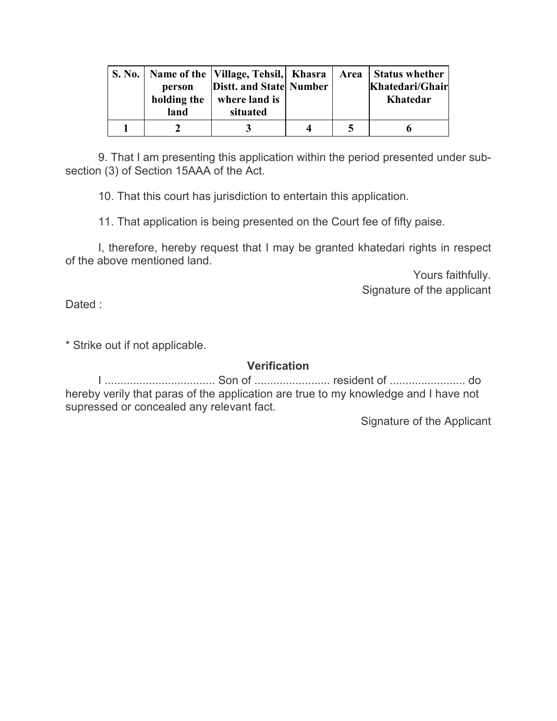| person<br>holding the<br>land | Distt. and State Number<br>where land is<br>situated |   | S. No.   Name of the   Village, Tehsil,   Khasra   Area   Status whether<br>Khatedari/Ghair<br><b>Khatedar</b> |
|-------------------------------|------------------------------------------------------|---|----------------------------------------------------------------------------------------------------------------|
|                               |                                                      | Δ |                                                                                                                |

9. That I am presenting this application within the period presented under subsection (3) of Section 15AAA of the Act.

10. That this court has jurisdiction to entertain this application.

11. That application is being presented on the Court fee of fifty paise.

I, therefore, hereby request that I may be granted khatedari rights in respect of the above mentioned land.

> Yours faithfully. Signature of the applicant

Dated :

\* Strike out if not applicable.

#### **Verification**

I ................................... Son of ........................ resident of ........................ do hereby verily that paras of the application are true to my knowledge and I have not supressed or concealed any relevant fact.

Signature of the Applicant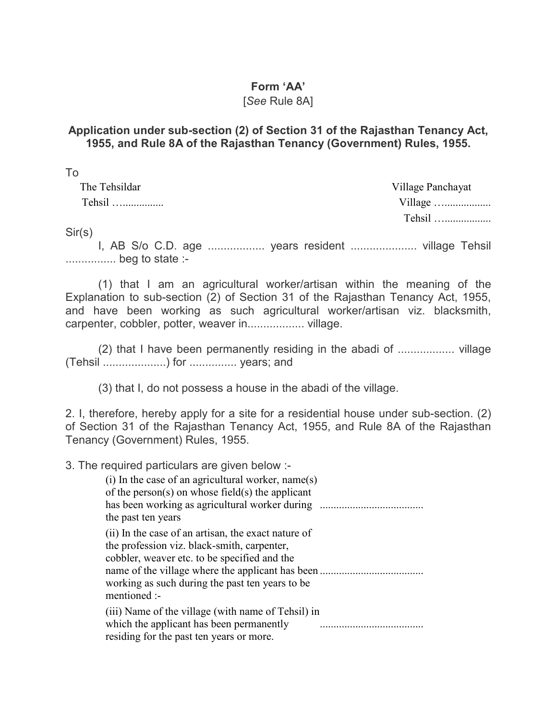#### **Form 'AA'**

#### [*See* Rule 8A]

# **Application under sub-section (2) of Section 31 of the Rajasthan Tenancy Act, 1955, and Rule 8A of the Rajasthan Tenancy (Government) Rules, 1955.**

| To            |                   |
|---------------|-------------------|
| The Tehsildar | Village Panchayat |
| Tehsil        |                   |
|               | Tehsil            |

Sir(s)

I, AB S/o C.D. age .................. years resident ..................... village Tehsil ................ beg to state :-

(1) that I am an agricultural worker/artisan within the meaning of the Explanation to sub-section (2) of Section 31 of the Rajasthan Tenancy Act, 1955, and have been working as such agricultural worker/artisan viz. blacksmith, carpenter, cobbler, potter, weaver in.................. village.

(2) that I have been permanently residing in the abadi of .................. village (Tehsil ....................) for ............... years; and

(3) that I, do not possess a house in the abadi of the village.

2. I, therefore, hereby apply for a site for a residential house under sub-section. (2) of Section 31 of the Rajasthan Tenancy Act, 1955, and Rule 8A of the Rajasthan Tenancy (Government) Rules, 1955.

3. The required particulars are given below :- (i) In the case of an agricultural worker, name(s) of the person(s) on whose field(s) the applicant has been working as agricultural worker during ...................................... the past ten years (ii) In the case of an artisan, the exact nature of the profession viz. black-smith, carpenter, cobbler, weaver etc. to be specified and the name of the village where the applicant has been ...................................... working as such during the past ten years to be mentioned :- (iii) Name of the village (with name of Tehsil) in which the applicant has been permanently residing for the past ten years or more. ......................................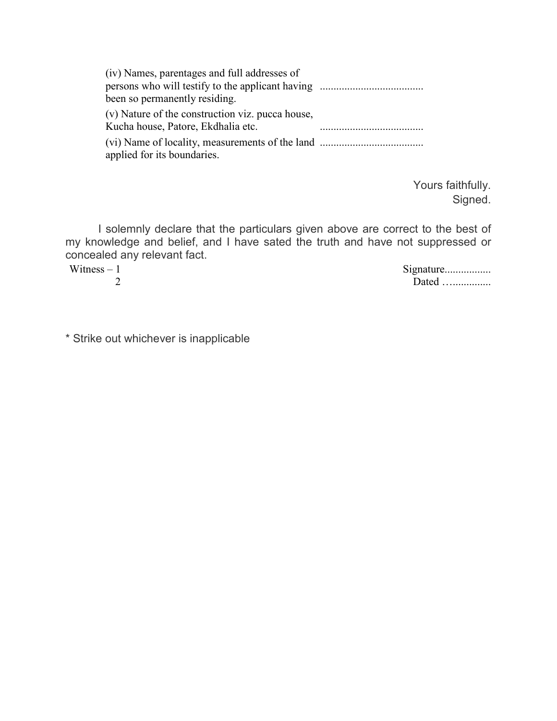| (iv) Names, parentages and full addresses of                                           |  |
|----------------------------------------------------------------------------------------|--|
| been so permanently residing.                                                          |  |
| (v) Nature of the construction viz. pucca house,<br>Kucha house, Patore, Ekdhalia etc. |  |
| applied for its boundaries.                                                            |  |

Yours faithfully. Signed.

I solemnly declare that the particulars given above are correct to the best of my knowledge and belief, and I have sated the truth and have not suppressed or concealed any relevant fact.

Witness  $-1$ 2 Signature.................. Dated …...............

\* Strike out whichever is inapplicable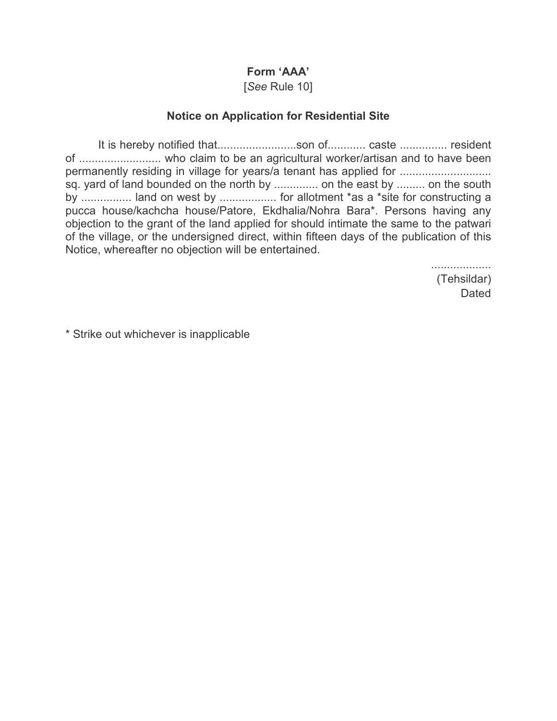# **Form 'AAA'**

[*See* Rule 10]

# **Notice on Application for Residential Site**

It is hereby notified that............................son of............. caste ................ resident of .......................... who claim to be an agricultural worker/artisan and to have been permanently residing in village for years/a tenant has applied for ................................. sq. yard of land bounded on the north by ............... on the east by ......... on the south by ................ land on west by .................. for allotment \*as a \*site for constructing a pucca house/kachcha house/Patore, Ekdhalia/Nohra Bara\*. Persons having any objection to the grant of the land applied for should intimate the same to the patwari of the village, or the undersigned direct, within fifteen days of the publication of this Notice, whereafter no objection will be entertained.

> ................... (Tehsildar) Dated

\* Strike out whichever is inapplicable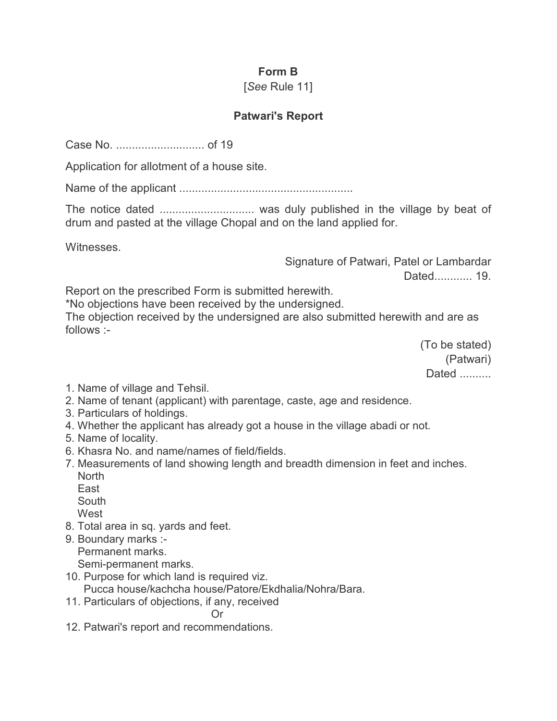# **Form B**

# [*See* Rule 11]

# **Patwari's Report**

Case No. ............................ of 19

Application for allotment of a house site.

Name of the applicant .......................................................

The notice dated .............................. was duly published in the village by beat of drum and pasted at the village Chopal and on the land applied for.

Witnesses.

Signature of Patwari, Patel or Lambardar Dated............ 19.

Report on the prescribed Form is submitted herewith.

\*No objections have been received by the undersigned.

The objection received by the undersigned are also submitted herewith and are as follows :-

> (To be stated) (Patwari) Dated ..........

- 1. Name of village and Tehsil.
- 2. Name of tenant (applicant) with parentage, caste, age and residence.
- 3. Particulars of holdings.
- 4. Whether the applicant has already got a house in the village abadi or not.
- 5. Name of locality.
- 6. Khasra No. and name/names of field/fields.
- 7. Measurements of land showing length and breadth dimension in feet and inches. **North** 
	- East
	- South
	- West
- 8. Total area in sq. yards and feet.
- 9. Boundary marks :-

Permanent marks.

Semi-permanent marks.

10. Purpose for which land is required viz.

Pucca house/kachcha house/Patore/Ekdhalia/Nohra/Bara.

11. Particulars of objections, if any, received

**Contract Contract Contract Contract Contract Contract Contract Contract Contract Contract Contract Contract Co** 12. Patwari's report and recommendations.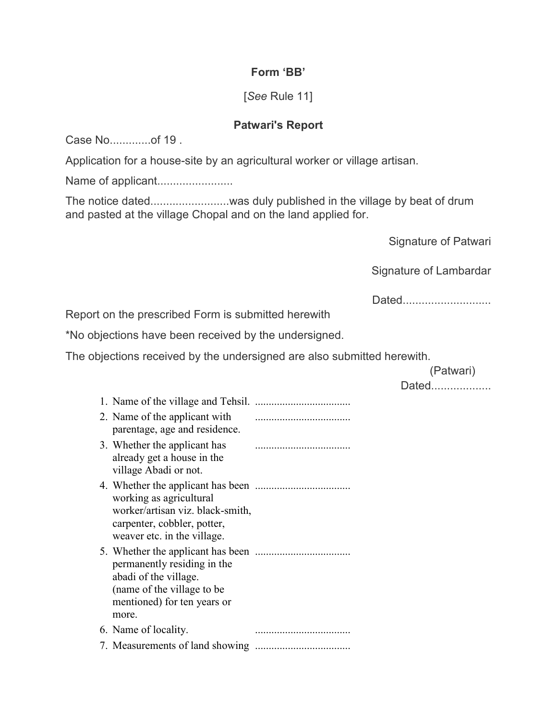# **Form 'BB'**

# [*See* Rule 11]

# **Patwari's Report**

Case No.............of 19 .

Application for a house-site by an agricultural worker or village artisan.

Name of applicant........................

The notice dated.........................was duly published in the village by beat of drum and pasted at the village Chopal and on the land applied for.

Signature of Patwari

Signature of Lambardar

Dated..............................

Report on the prescribed Form is submitted herewith

\*No objections have been received by the undersigned.

The objections received by the undersigned are also submitted herewith.

(Patwari)

Dated...................

| 2. Name of the applicant with<br>parentage, age and residence.                                                              |  |
|-----------------------------------------------------------------------------------------------------------------------------|--|
| 3. Whether the applicant has<br>already get a house in the<br>village Abadi or not.                                         |  |
| working as agricultural<br>worker/artisan viz. black-smith,<br>carpenter, cobbler, potter,<br>weaver etc. in the village.   |  |
| permanently residing in the<br>abadi of the village.<br>(name of the village to be)<br>mentioned) for ten years or<br>more. |  |
| 6. Name of locality.                                                                                                        |  |
|                                                                                                                             |  |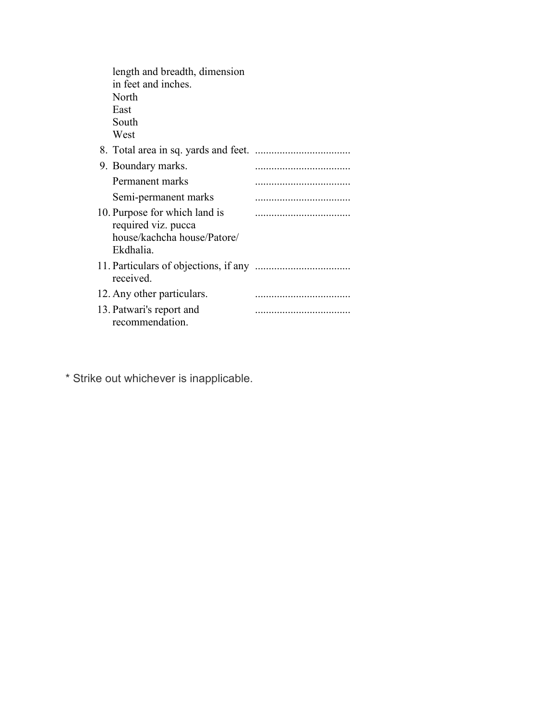| length and breadth, dimension<br>in feet and inches.<br>North<br>East<br>South<br>West           |  |
|--------------------------------------------------------------------------------------------------|--|
|                                                                                                  |  |
| 9. Boundary marks.                                                                               |  |
| Permanent marks                                                                                  |  |
| Semi-permanent marks                                                                             |  |
| 10. Purpose for which land is<br>required viz. pucca<br>house/kachcha house/Patore/<br>Ekdhalia. |  |
| received.                                                                                        |  |
| 12. Any other particulars.                                                                       |  |
| 13. Patwari's report and<br>recommendation.                                                      |  |

\* Strike out whichever is inapplicable.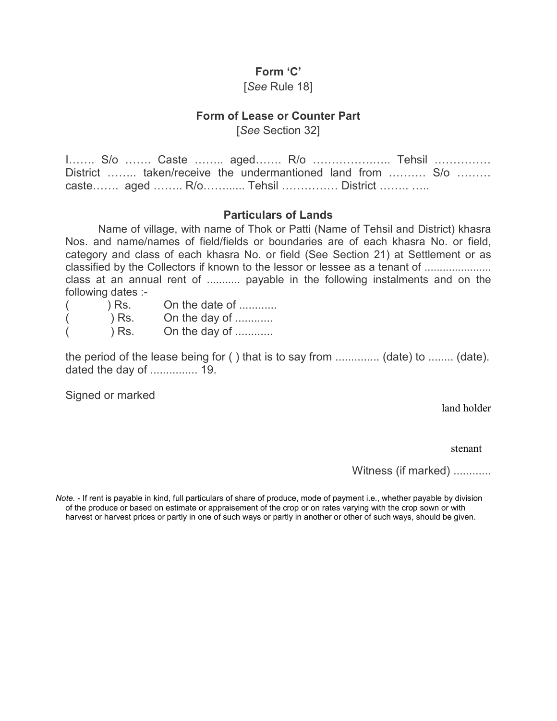#### **Form 'C'**

#### [*See* Rule 18]

#### **Form of Lease or Counter Part**

[*See* Section 32]

I....... S/o ....... Caste ........ aged....... R/o ......................... Tehsil ............... District ........ taken/receive the undermantioned land from .......... S/o ........  $\text{case} \dots \dots$  aged  $\dots \dots \dots \dots \dots$  Tehsil  $\dots \dots \dots$  District  $\dots \dots \dots$ 

#### **Particulars of Lands**

Name of village, with name of Thok or Patti (Name of Tehsil and District) khasra Nos. and name/names of field/fields or boundaries are of each khasra No. or field, category and class of each khasra No. or field (See Section 21) at Settlement or as classified by the Collectors if known to the lessor or lessee as a tenant of ...................... class at an annual rent of ........... payable in the following instalments and on the following dates :-

 $($  ) Rs. On the date of ............  $($  ) Rs. On the day of ............  $($  ) Rs. On the day of ............

the period of the lease being for ( ) that is to say from .............. (date) to ........ (date). dated the day of ............... 19.

Signed or marked

land holder

stenant

Witness (if marked) ............

*Note.* - If rent is payable in kind, full particulars of share of produce, mode of payment i.e., whether payable by division of the produce or based on estimate or appraisement of the crop or on rates varying with the crop sown or with harvest or harvest prices or partly in one of such ways or partly in another or other of such ways, should be given.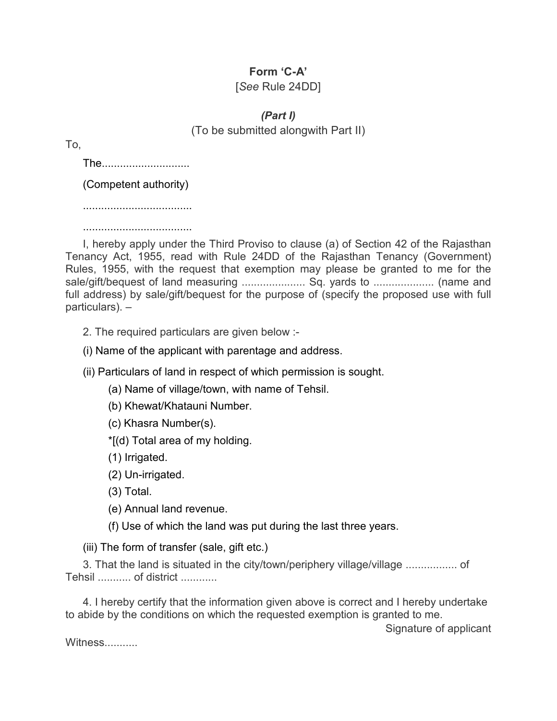# **Form 'C-A'**

# [*See* Rule 24DD]

*(Part I)*  (To be submitted alongwith Part II)

To,

The.............................

(Competent authority)

....................................

....................................

I, hereby apply under the Third Proviso to clause (a) of Section 42 of the Rajasthan Tenancy Act, 1955, read with Rule 24DD of the Rajasthan Tenancy (Government) Rules, 1955, with the request that exemption may please be granted to me for the sale/gift/bequest of land measuring ..................... Sq. yards to .................... (name and full address) by sale/gift/bequest for the purpose of (specify the proposed use with full particulars). –

2. The required particulars are given below :-

(i) Name of the applicant with parentage and address.

(ii) Particulars of land in respect of which permission is sought.

(a) Name of village/town, with name of Tehsil.

(b) Khewat/Khatauni Number.

(c) Khasra Number(s).

\*[(d) Total area of my holding.

(1) Irrigated.

(2) Un-irrigated.

(3) Total.

(e) Annual land revenue.

(f) Use of which the land was put during the last three years.

(iii) The form of transfer (sale, gift etc.)

3. That the land is situated in the city/town/periphery village/village ................. of Tehsil ........... of district ............

4. I hereby certify that the information given above is correct and I hereby undertake to abide by the conditions on which the requested exemption is granted to me.

Signature of applicant

Witness...........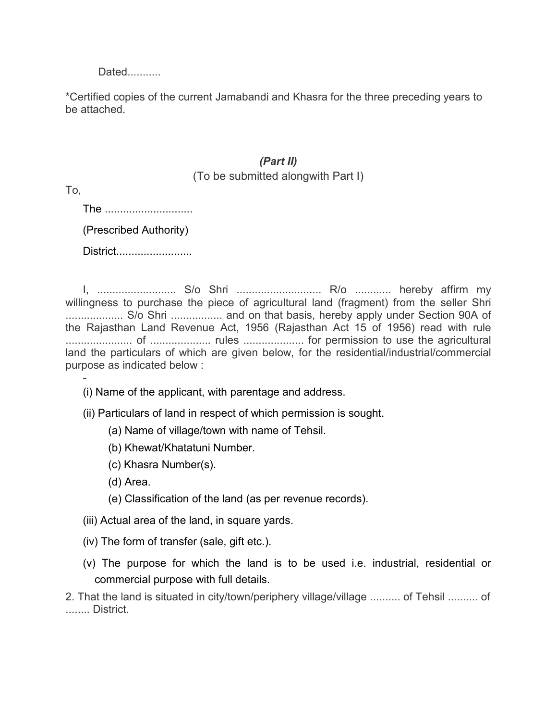Dated...........

\*Certified copies of the current Jamabandi and Khasra for the three preceding years to be attached.

# *(Part II)*

# (To be submitted alongwith Part I)

To,

-

The .............................. (Prescribed Authority)

District..........................

I, .......................... S/o Shri ............................ R/o ............ hereby affirm my willingness to purchase the piece of agricultural land (fragment) from the seller Shri ................... S/o Shri ................. and on that basis, hereby apply under Section 90A of the Rajasthan Land Revenue Act, 1956 (Rajasthan Act 15 of 1956) read with rule ...................... of .................... rules .................... for permission to use the agricultural land the particulars of which are given below, for the residential/industrial/commercial purpose as indicated below :

(i) Name of the applicant, with parentage and address.

- (ii) Particulars of land in respect of which permission is sought.
	- (a) Name of village/town with name of Tehsil.
	- (b) Khewat/Khatatuni Number.
	- (c) Khasra Number(s).
	- (d) Area.
	- (e) Classification of the land (as per revenue records).
- (iii) Actual area of the land, in square yards.
- (iv) The form of transfer (sale, gift etc.).
- (v) The purpose for which the land is to be used i.e. industrial, residential or commercial purpose with full details.

2. That the land is situated in city/town/periphery village/village .......... of Tehsil .......... of ........ District.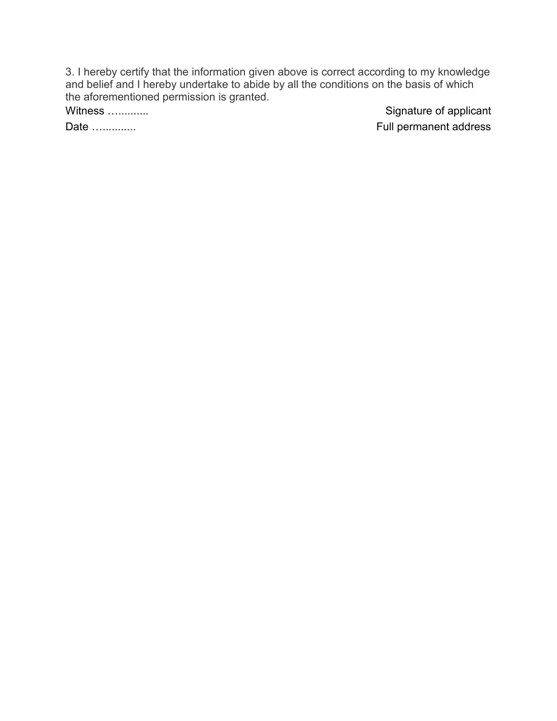3. I hereby certify that the information given above is correct according to my knowledge and belief and I hereby undertake to abide by all the conditions on the basis of which the aforementioned permission is granted.<br>Witness .............

Signature of applicant Date Q........... Full permanent address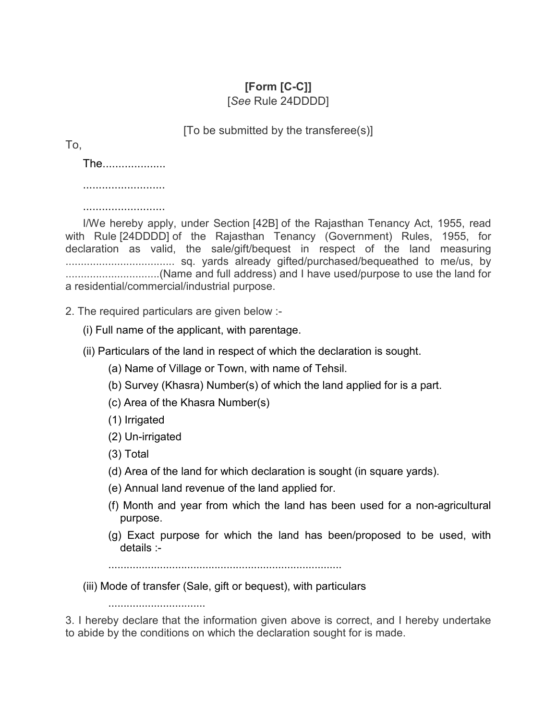# **[Form [C-C]]**

[*See* Rule 24DDDD]

[To be submitted by the transferee(s)]

To,

The....................

..........................

..........................

I/We hereby apply, under Section [42B] of the Rajasthan Tenancy Act, 1955, read with Rule [24DDDD] of the Rajasthan Tenancy (Government) Rules, 1955, for declaration as valid, the sale/gift/bequest in respect of the land measuring .................................... sq. yards already gifted/purchased/bequeathed to me/us, by ...............................(Name and full address) and I have used/purpose to use the land for a residential/commercial/industrial purpose.

2. The required particulars are given below :-

(i) Full name of the applicant, with parentage.

- (ii) Particulars of the land in respect of which the declaration is sought.
	- (a) Name of Village or Town, with name of Tehsil.
	- (b) Survey (Khasra) Number(s) of which the land applied for is a part.
	- (c) Area of the Khasra Number(s)
	- (1) Irrigated
	- (2) Un-irrigated

................................

- (3) Total
- (d) Area of the land for which declaration is sought (in square yards).
- (e) Annual land revenue of the land applied for.
- (f) Month and year from which the land has been used for a non-agricultural purpose.
- (g) Exact purpose for which the land has been/proposed to be used, with details :-

.............................................................................

(iii) Mode of transfer (Sale, gift or bequest), with particulars

3. I hereby declare that the information given above is correct, and I hereby undertake to abide by the conditions on which the declaration sought for is made.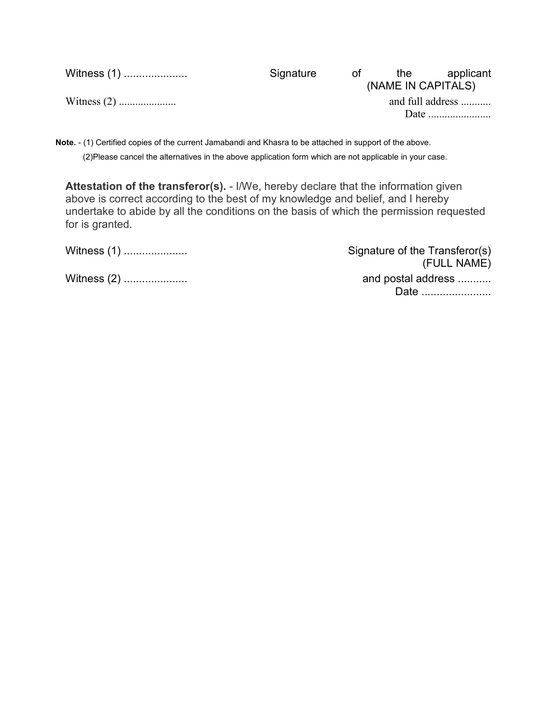| Witness (1) | Signature | ot l | the                | applicant        |
|-------------|-----------|------|--------------------|------------------|
|             |           |      | (NAME IN CAPITALS) |                  |
|             |           |      |                    | and full address |
|             |           |      |                    |                  |
|             |           |      |                    |                  |

**Note.** - (1) Certified copies of the current Jamabandi and Khasra to be attached in support of the above. (2)Please cancel the alternatives in the above application form which are not applicable in your case.

**Attestation of the transferor(s).** - I/We, hereby declare that the information given above is correct according to the best of my knowledge and belief, and I hereby undertake to abide by all the conditions on the basis of which the permission requested for is granted.

| Witness (1)   | Signature of the Transferor(s)<br>(FULL NAME) |
|---------------|-----------------------------------------------|
| Witness $(2)$ | and postal address<br>Date                    |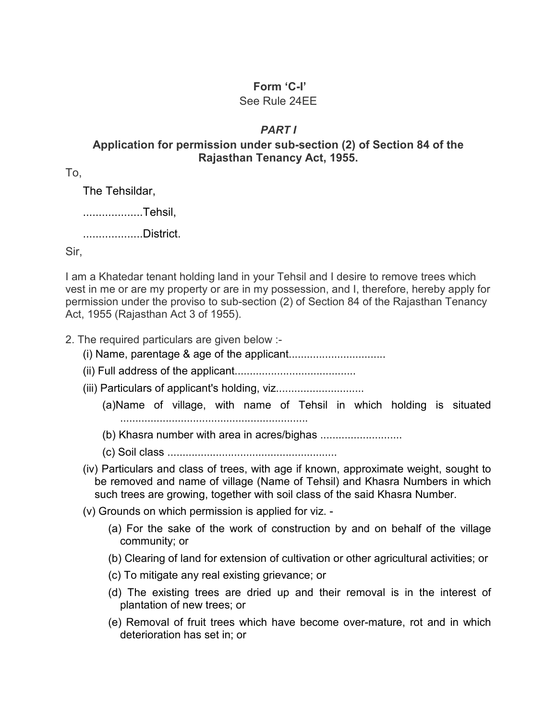# **Form 'C-I'**

## See Rule 24EE

# *PART I*

# **Application for permission under sub-section (2) of Section 84 of the Rajasthan Tenancy Act, 1955.**

To,

The Tehsildar,

...................Tehsil,

...................District.

Sir,

I am a Khatedar tenant holding land in your Tehsil and I desire to remove trees which vest in me or are my property or are in my possession, and I, therefore, hereby apply for permission under the proviso to sub-section (2) of Section 84 of the Rajasthan Tenancy Act, 1955 (Rajasthan Act 3 of 1955).

2. The required particulars are given below :-

- (i) Name, parentage & age of the applicant................................
- (ii) Full address of the applicant........................................
- (iii) Particulars of applicant's holding, viz...................................
	- (a)Name of village, with name of Tehsil in which holding is situated ..............................................................
	- (b) Khasra number with area in acres/bighas ...........................
	- (c) Soil class ........................................................
- (iv) Particulars and class of trees, with age if known, approximate weight, sought to be removed and name of village (Name of Tehsil) and Khasra Numbers in which such trees are growing, together with soil class of the said Khasra Number.
- (v) Grounds on which permission is applied for viz.
	- (a) For the sake of the work of construction by and on behalf of the village community; or
	- (b) Clearing of land for extension of cultivation or other agricultural activities; or
	- (c) To mitigate any real existing grievance; or
	- (d) The existing trees are dried up and their removal is in the interest of plantation of new trees; or
	- (e) Removal of fruit trees which have become over-mature, rot and in which deterioration has set in; or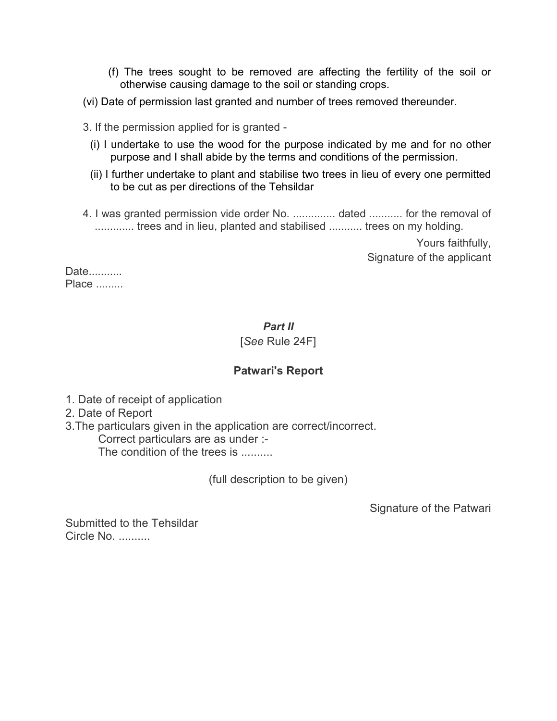- (f) The trees sought to be removed are affecting the fertility of the soil or otherwise causing damage to the soil or standing crops.
- (vi) Date of permission last granted and number of trees removed thereunder.
- 3. If the permission applied for is granted
	- (i) I undertake to use the wood for the purpose indicated by me and for no other purpose and I shall abide by the terms and conditions of the permission.
	- (ii) I further undertake to plant and stabilise two trees in lieu of every one permitted to be cut as per directions of the Tehsildar
- 4. I was granted permission vide order No. .............. dated ........... for the removal of .............. trees and in lieu, planted and stabilised ........... trees on my holding.

Yours faithfully, Signature of the applicant

Date........... Place .........

# *Part II*

# [*See* Rule 24F]

# **Patwari's Report**

- 1. Date of receipt of application
- 2. Date of Report
- 3.The particulars given in the application are correct/incorrect. Correct particulars are as under :- The condition of the trees is .........

(full description to be given)

Signature of the Patwari

Submitted to the Tehsildar Circle No. ..........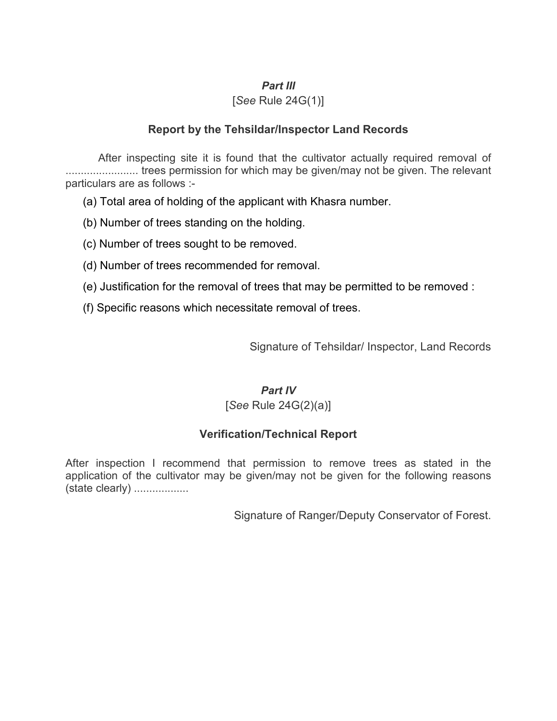#### *Part III*

#### [*See* Rule 24G(1)]

## **Report by the Tehsildar/Inspector Land Records**

After inspecting site it is found that the cultivator actually required removal of ........................ trees permission for which may be given/may not be given. The relevant particulars are as follows :-

(a) Total area of holding of the applicant with Khasra number.

(b) Number of trees standing on the holding.

(c) Number of trees sought to be removed.

(d) Number of trees recommended for removal.

(e) Justification for the removal of trees that may be permitted to be removed :

(f) Specific reasons which necessitate removal of trees.

Signature of Tehsildar/ Inspector, Land Records

#### *Part IV*

#### [*See* Rule 24G(2)(a)]

# **Verification/Technical Report**

After inspection I recommend that permission to remove trees as stated in the application of the cultivator may be given/may not be given for the following reasons (state clearly) ..................

Signature of Ranger/Deputy Conservator of Forest.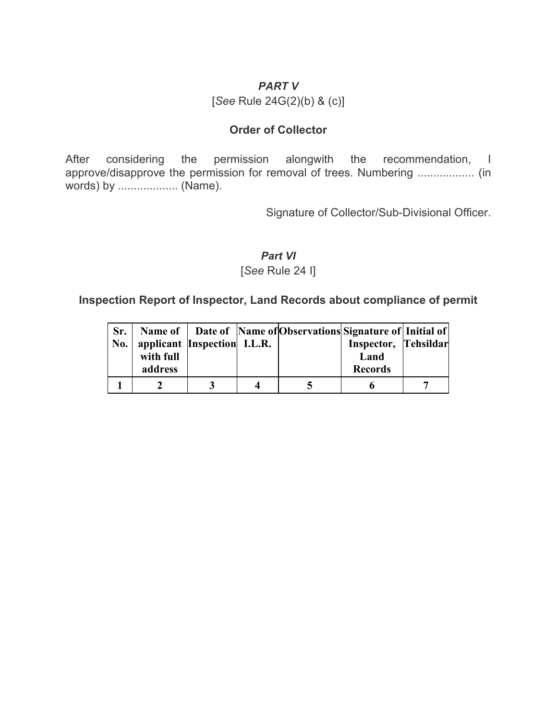# *PART V*

[*See* Rule 24G(2)(b) & (c)]

## **Order of Collector**

After considering the permission alongwith the recommendation, I approve/disapprove the permission for removal of trees. Numbering .................. (in words) by ................... (Name).

Signature of Collector/Sub-Divisional Officer.

# *Part VI*

#### [*See* Rule 24 I]

# **Inspection Report of Inspector, Land Records about compliance of permit**

| Sr.<br>No. | with full<br>address | applicant Inspection I.L.R. | Name of   Date of   Name of   Observations   Signature of   Initial of | Inspector, Tehsildar<br>Land<br><b>Records</b> |  |
|------------|----------------------|-----------------------------|------------------------------------------------------------------------|------------------------------------------------|--|
|            |                      |                             |                                                                        |                                                |  |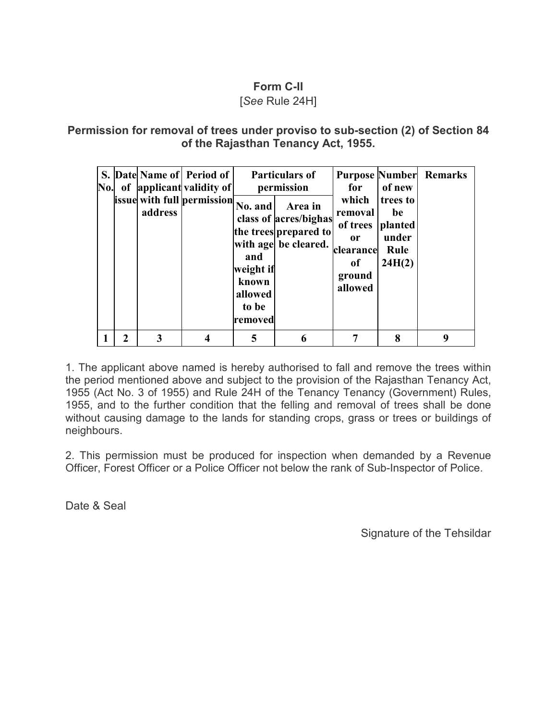# **Form C-II**

# [*See* Rule 24H]

# **Permission for removal of trees under proviso to sub-section (2) of Section 84 of the Rajasthan Tenancy Act, 1955.**

| No. |                             | address | S. Date Name of Period of<br>of applicant validity of<br>issue with full permission | No. and<br>and<br>weight if<br>known<br>allowed<br>to be<br>removed | <b>Particulars of</b><br>permission<br>Area in<br>class of acres/bighas<br>the trees prepared to<br>with age be cleared. | for<br>which<br>removal<br>of trees<br>0r<br>clearance<br>of<br>ground<br>allowed | of new<br>trees to<br>be<br>planted<br>under<br>Rule<br>24H(2) | <b>Purpose Number Remarks</b> |
|-----|-----------------------------|---------|-------------------------------------------------------------------------------------|---------------------------------------------------------------------|--------------------------------------------------------------------------------------------------------------------------|-----------------------------------------------------------------------------------|----------------------------------------------------------------|-------------------------------|
|     | $\mathcal{D}_{\mathcal{L}}$ | 3       |                                                                                     |                                                                     |                                                                                                                          |                                                                                   | 8                                                              | q                             |

1. The applicant above named is hereby authorised to fall and remove the trees within the period mentioned above and subject to the provision of the Rajasthan Tenancy Act, 1955 (Act No. 3 of 1955) and Rule 24H of the Tenancy Tenancy (Government) Rules, 1955, and to the further condition that the felling and removal of trees shall be done without causing damage to the lands for standing crops, grass or trees or buildings of neighbours.

2. This permission must be produced for inspection when demanded by a Revenue Officer, Forest Officer or a Police Officer not below the rank of Sub-Inspector of Police.

Date & Seal

Signature of the Tehsildar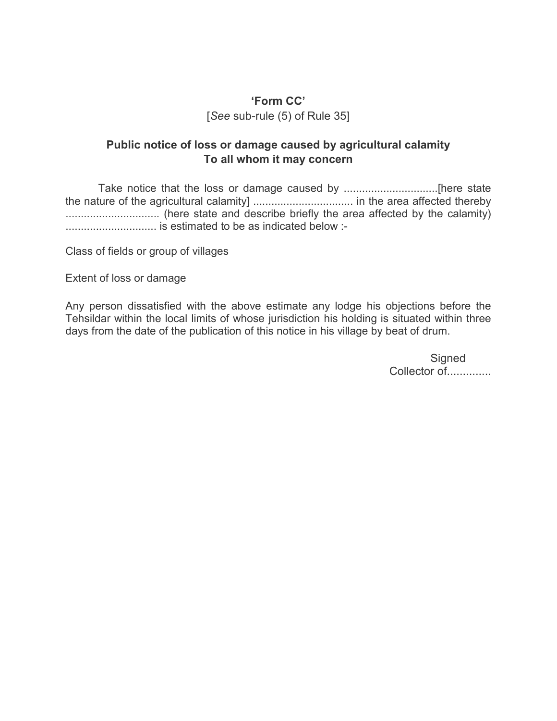# **'Form CC'** [*See* sub-rule (5) of Rule 35]

# **Public notice of loss or damage caused by agricultural calamity To all whom it may concern**

Take notice that the loss or damage caused by ...............................[here state the nature of the agricultural calamity] ................................. in the area affected thereby ............................... (here state and describe briefly the area affected by the calamity) .............................. is estimated to be as indicated below :-

Class of fields or group of villages

Extent of loss or damage

Any person dissatisfied with the above estimate any lodge his objections before the Tehsildar within the local limits of whose jurisdiction his holding is situated within three days from the date of the publication of this notice in his village by beat of drum.

> **Signed** Collector of...............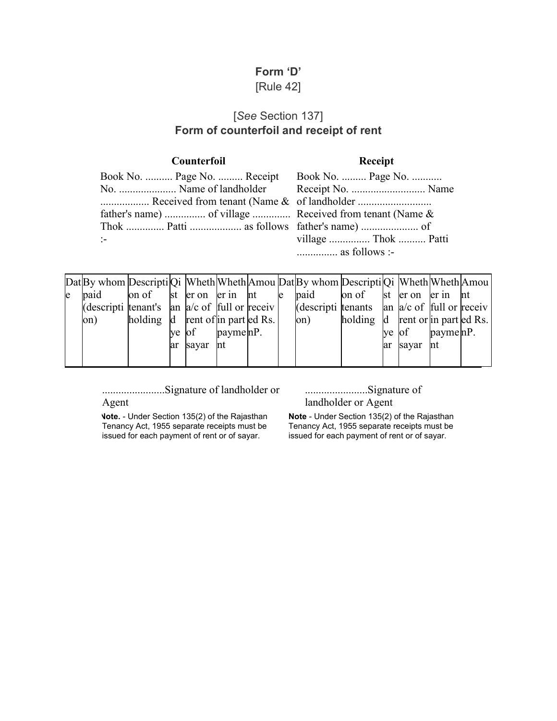# **Form 'D'** [Rule 42]

# [*See* Section 137] **Form of counterfoil and receipt of rent**

#### **Counterfoil Receipt**

|               | Book No.  Page No.  Receipt Book No.  Page No.           |                        |  |
|---------------|----------------------------------------------------------|------------------------|--|
|               |                                                          |                        |  |
|               |                                                          |                        |  |
|               | father's name)  of village  Received from tenant (Name & |                        |  |
|               |                                                          |                        |  |
| $\mathcal{L}$ |                                                          | village  Thok  Patti   |  |
|               |                                                          | $\ldots$ as follows :- |  |

|     |                                                                                         |                                                         |          |                                       |   | Dat By whom Descripti Qi Wheth Wheth Amou Dat By whom Descripti Qi Wheth Wheth Amou |                                  |    |       |                            |    |
|-----|-----------------------------------------------------------------------------------------|---------------------------------------------------------|----------|---------------------------------------|---|-------------------------------------------------------------------------------------|----------------------------------|----|-------|----------------------------|----|
| le. | paid                                                                                    | on of $\vert$ st $\vert$ er on $\vert$ er in $\vert$ nt |          |                                       | e | paid                                                                                | on of ster on er in              |    |       |                            | nt |
|     | (descripti tenant's $ a  \approx a/c$ of $ f \sim b $ and $ g \sim b $ and $ g \sim b $ |                                                         |          |                                       |   | (descripti tenants $\alpha$ an $\alpha$ /c of full or receiv                        |                                  |    |       |                            |    |
|     | on)                                                                                     | holding d rent of in part ed Rs.                        |          |                                       |   | on)                                                                                 | holding d rent or in part ed Rs. |    |       |                            |    |
|     |                                                                                         |                                                         | ve of    | $\text{payment} \text{ln} \text{P}$ . |   |                                                                                     |                                  |    | ve of | $payme$ <sub>m</sub> $P$ . |    |
|     |                                                                                         |                                                         | ar sayar | Int                                   |   |                                                                                     |                                  | ar | sayar | nt                         |    |
|     |                                                                                         |                                                         |          |                                       |   |                                                                                     |                                  |    |       |                            |    |

.......................Signature of landholder or Agent

.......................Signature of landholder or Agent

**Note.** - Under Section 135(2) of the Rajasthan Tenancy Act, 1955 separate receipts must be issued for each payment of rent or of sayar.

**Note** - Under Section 135(2) of the Rajasthan Tenancy Act, 1955 separate receipts must be issued for each payment of rent or of sayar.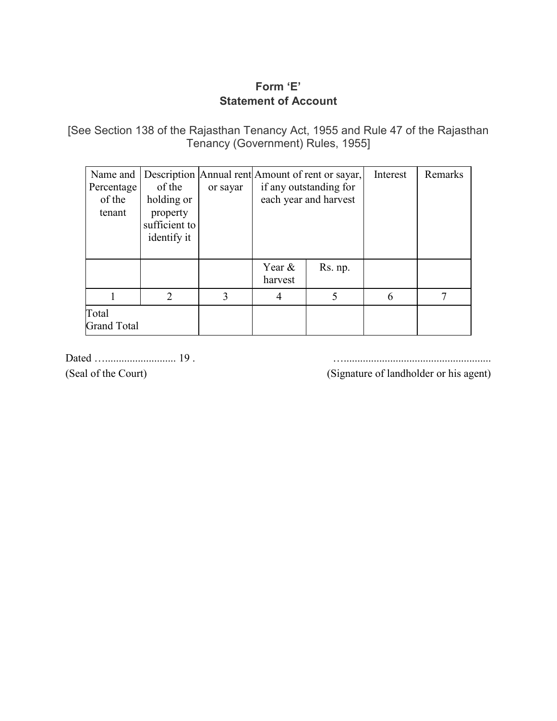# **Form 'E' Statement of Account**

[See Section 138 of the Rajasthan Tenancy Act, 1955 and Rule 47 of the Rajasthan Tenancy (Government) Rules, 1955]

| Name and<br>Percentage<br>of the<br>tenant | of the<br>holding or<br>property<br>sufficient to<br>identify it | or sayar |                      | Description Annual rent Amount of rent or sayar,<br>if any outstanding for<br>each year and harvest | Interest | Remarks |
|--------------------------------------------|------------------------------------------------------------------|----------|----------------------|-----------------------------------------------------------------------------------------------------|----------|---------|
|                                            |                                                                  |          | Year $\&$<br>harvest | Rs. np.                                                                                             |          |         |
|                                            | $\mathcal{L}$                                                    | 3        | 4                    | 5                                                                                                   | 6        |         |
| Total<br><b>Grand Total</b>                |                                                                  |          |                      |                                                                                                     |          |         |

Dated ….......................... 19 . …......................................................

(Seal of the Court) (Signature of landholder or his agent)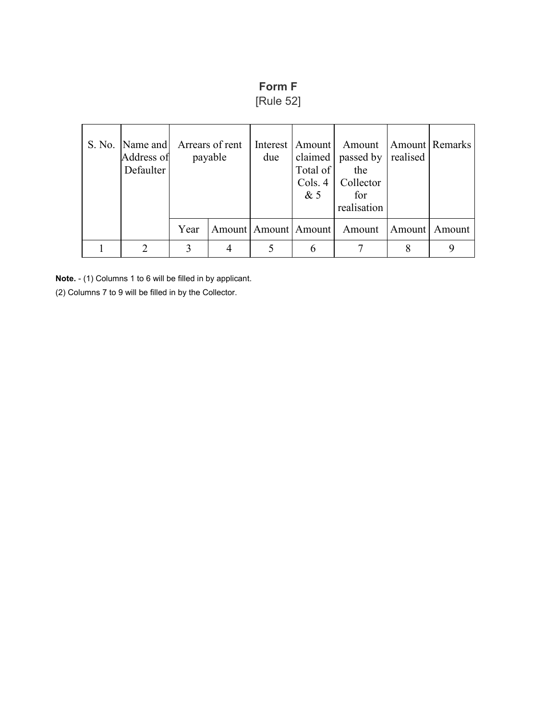# **Form F**

[Rule 52]

| Address of<br>Defaulter | S. No.   Name and   Arrears of rent<br>payable |  | Interest  <br>due | Amount  <br>Total of<br>Cols. 4<br>&5 | Amount<br>claimed $ $ passed by $ $<br>the<br>Collector<br>for<br>realisation | realised | Amount Remarks |
|-------------------------|------------------------------------------------|--|-------------------|---------------------------------------|-------------------------------------------------------------------------------|----------|----------------|
|                         | Year                                           |  |                   | Amount   Amount   Amount              | Amount                                                                        | Amount   | Amount         |
|                         | 3                                              |  |                   | 6                                     |                                                                               |          |                |

**Note.** - (1) Columns 1 to 6 will be filled in by applicant.

(2) Columns 7 to 9 will be filled in by the Collector.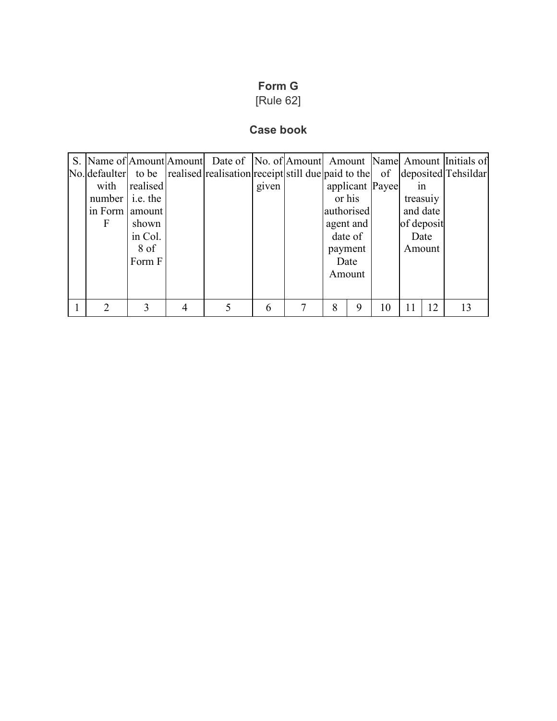# **Form G**

# [Rule 62]

# **Case book**

|                         |          | S. Name of Amount Amount Date of No. of Amount Amount Name Amount Initials of                         |       |                 |    |            |    |
|-------------------------|----------|-------------------------------------------------------------------------------------------------------|-------|-----------------|----|------------|----|
|                         |          | $\vert$ No. defaulter to be realised realisation receipt still due paid to the of deposited Tehsildar |       |                 |    |            |    |
| with                    | realised |                                                                                                       | given | applicant Payee |    | 1n         |    |
| number $\vert$ i.e. the |          |                                                                                                       |       | or his          |    | treasury   |    |
| in Form                 | amount   |                                                                                                       |       | authorised      |    | and date   |    |
| F                       | shown    |                                                                                                       |       | agent and       |    | of deposit |    |
|                         | in Col.  |                                                                                                       |       | date of         |    | Date       |    |
|                         | 8 of     |                                                                                                       |       | payment         |    | Amount     |    |
|                         | Form F   |                                                                                                       |       | Date            |    |            |    |
|                         |          |                                                                                                       |       | Amount          |    |            |    |
|                         |          |                                                                                                       |       |                 |    |            |    |
|                         |          |                                                                                                       |       |                 |    |            |    |
| ↑                       |          | 5                                                                                                     | 6     | 8<br>9          | 10 | 12<br>11   | 13 |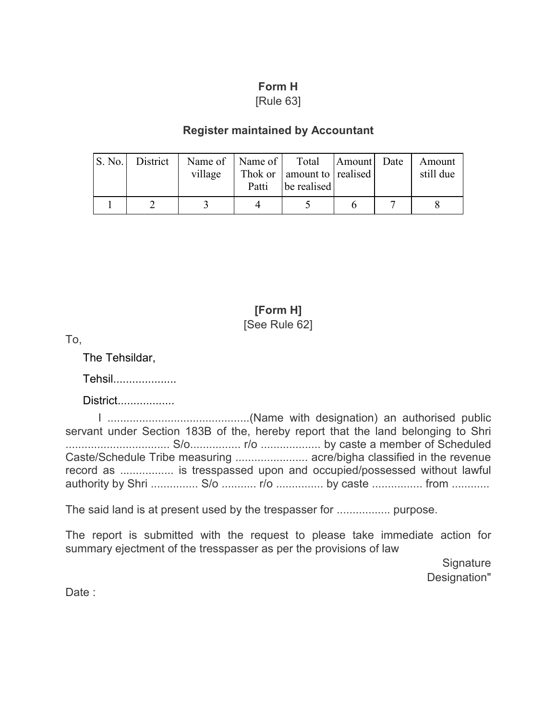# **Form H**

[Rule 63]

# **Register maintained by Accountant**

| <b>S. No.</b> | District | Name of   Name of  <br>village | Patti | Total Amount Date<br>Thok or amount to realised<br>be realised |  | Amount<br>still due |
|---------------|----------|--------------------------------|-------|----------------------------------------------------------------|--|---------------------|
|               |          |                                |       |                                                                |  |                     |

# **[Form H]** [See Rule 62]

To,

The Tehsildar,

Tehsil....................

District..................

I .............................................(Name with designation) an authorised public servant under Section 183B of the, hereby report that the land belonging to Shri ................................. S/o................ r/o ................... by caste a member of Scheduled Caste/Schedule Tribe measuring ....................... acre/bigha classified in the revenue record as ................. is tresspassed upon and occupied/possessed without lawful authority by Shri ............... S/o ........... r/o ............... by caste ................ from ............

The said land is at present used by the trespasser for ................. purpose.

The report is submitted with the request to please take immediate action for summary ejectment of the tresspasser as per the provisions of law

> **Signature** Designation"

Date :